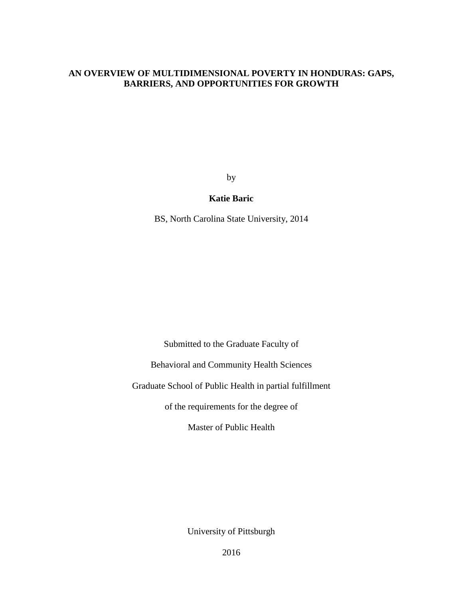#### **AN OVERVIEW OF MULTIDIMENSIONAL POVERTY IN HONDURAS: GAPS, BARRIERS, AND OPPORTUNITIES FOR GROWTH**

by

#### **Katie Baric**

BS, North Carolina State University, 2014

Submitted to the Graduate Faculty of

Behavioral and Community Health Sciences

Graduate School of Public Health in partial fulfillment

of the requirements for the degree of

Master of Public Health

University of Pittsburgh

i 2016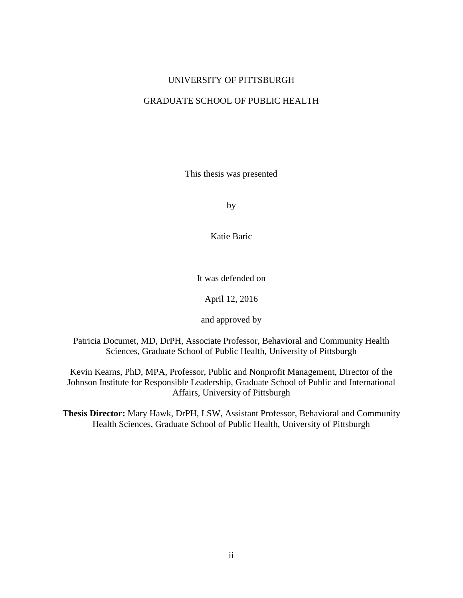#### UNIVERSITY OF PITTSBURGH

#### GRADUATE SCHOOL OF PUBLIC HEALTH

This thesis was presented

by

Katie Baric

It was defended on

April 12, 2016

and approved by

Patricia Documet, MD, DrPH, Associate Professor, Behavioral and Community Health Sciences, Graduate School of Public Health, University of Pittsburgh

Kevin Kearns, PhD, MPA, Professor, Public and Nonprofit Management, Director of the Johnson Institute for Responsible Leadership, Graduate School of Public and International Affairs, University of Pittsburgh

**Thesis Director:** Mary Hawk, DrPH, LSW, Assistant Professor, Behavioral and Community Health Sciences, Graduate School of Public Health, University of Pittsburgh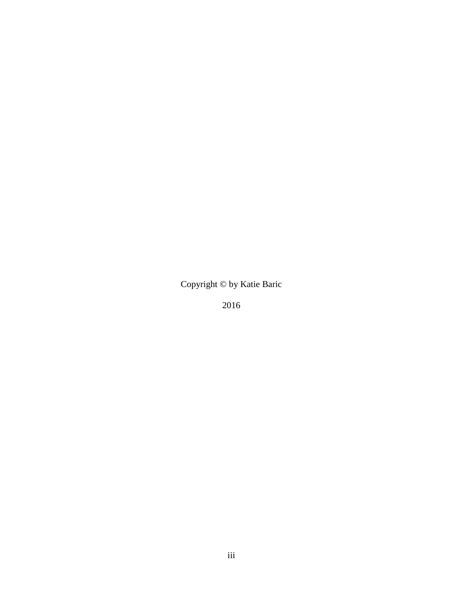Copyright © by Katie Baric

2016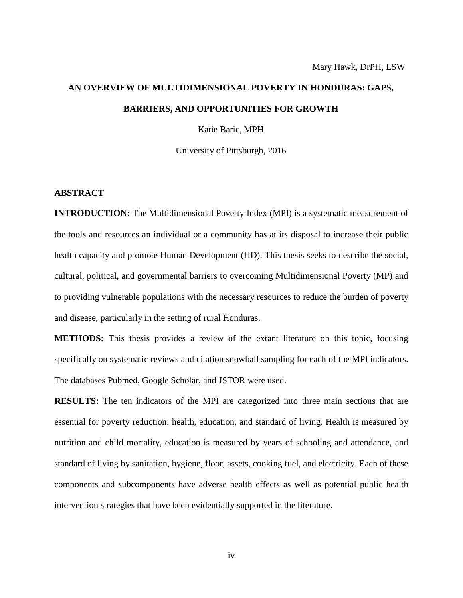# **AN OVERVIEW OF MULTIDIMENSIONAL POVERTY IN HONDURAS: GAPS, BARRIERS, AND OPPORTUNITIES FOR GROWTH**

Katie Baric, MPH

University of Pittsburgh, 2016

#### **ABSTRACT**

**INTRODUCTION:** The Multidimensional Poverty Index (MPI) is a systematic measurement of the tools and resources an individual or a community has at its disposal to increase their public health capacity and promote Human Development (HD). This thesis seeks to describe the social, cultural, political, and governmental barriers to overcoming Multidimensional Poverty (MP) and to providing vulnerable populations with the necessary resources to reduce the burden of poverty and disease, particularly in the setting of rural Honduras.

**METHODS:** This thesis provides a review of the extant literature on this topic, focusing specifically on systematic reviews and citation snowball sampling for each of the MPI indicators. The databases Pubmed, Google Scholar, and JSTOR were used.

**RESULTS:** The ten indicators of the MPI are categorized into three main sections that are essential for poverty reduction: health, education, and standard of living. Health is measured by nutrition and child mortality, education is measured by years of schooling and attendance, and standard of living by sanitation, hygiene, floor, assets, cooking fuel, and electricity. Each of these components and subcomponents have adverse health effects as well as potential public health intervention strategies that have been evidentially supported in the literature.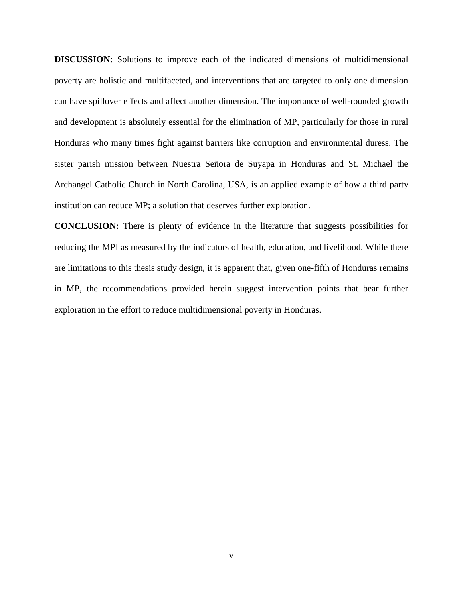**DISCUSSION:** Solutions to improve each of the indicated dimensions of multidimensional poverty are holistic and multifaceted, and interventions that are targeted to only one dimension can have spillover effects and affect another dimension. The importance of well-rounded growth and development is absolutely essential for the elimination of MP, particularly for those in rural Honduras who many times fight against barriers like corruption and environmental duress. The sister parish mission between Nuestra Señora de Suyapa in Honduras and St. Michael the Archangel Catholic Church in North Carolina, USA, is an applied example of how a third party institution can reduce MP; a solution that deserves further exploration.

**CONCLUSION:** There is plenty of evidence in the literature that suggests possibilities for reducing the MPI as measured by the indicators of health, education, and livelihood. While there are limitations to this thesis study design, it is apparent that, given one-fifth of Honduras remains in MP, the recommendations provided herein suggest intervention points that bear further exploration in the effort to reduce multidimensional poverty in Honduras.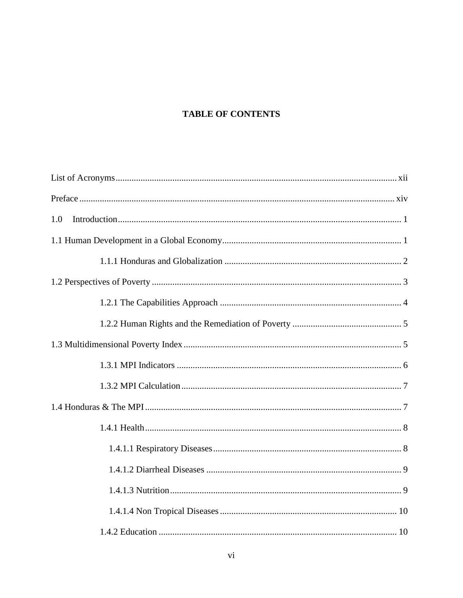# **TABLE OF CONTENTS**

| 1.0 |  |
|-----|--|
|     |  |
|     |  |
|     |  |
|     |  |
|     |  |
|     |  |
|     |  |
|     |  |
|     |  |
|     |  |
|     |  |
|     |  |
|     |  |
|     |  |
|     |  |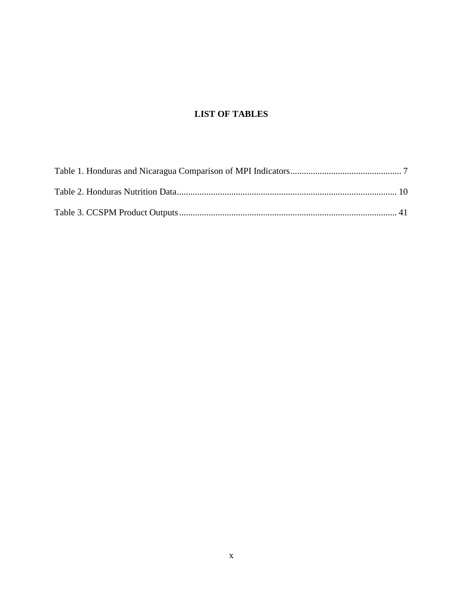# **LIST OF TABLES**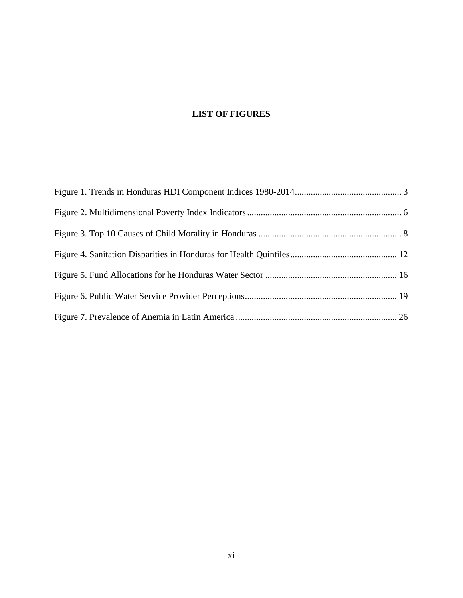# **LIST OF FIGURES**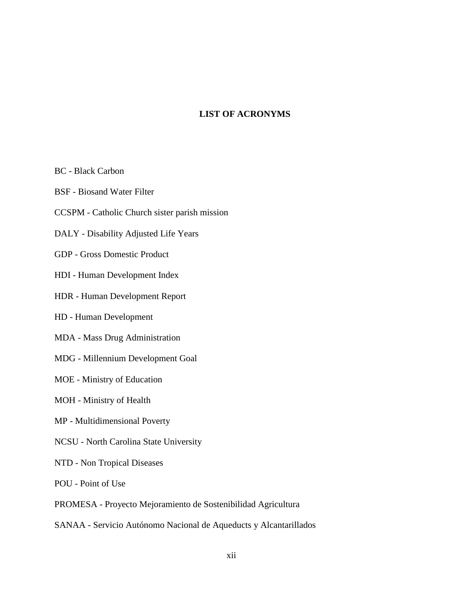### **LIST OF ACRONYMS**

<span id="page-11-0"></span>BC - Black Carbon

BSF - Biosand Water Filter

CCSPM - Catholic Church sister parish mission

DALY - Disability Adjusted Life Years

GDP - Gross Domestic Product

HDI - Human Development Index

HDR - Human Development Report

HD - Human Development

MDA - Mass Drug Administration

MDG - Millennium Development Goal

MOE - Ministry of Education

MOH - Ministry of Health

MP - Multidimensional Poverty

NCSU - North Carolina State University

NTD - Non Tropical Diseases

POU - Point of Use

PROMESA - Proyecto Mejoramiento de Sostenibilidad Agricultura

SANAA - Servicio Autónomo Nacional de Aqueducts y Alcantarillados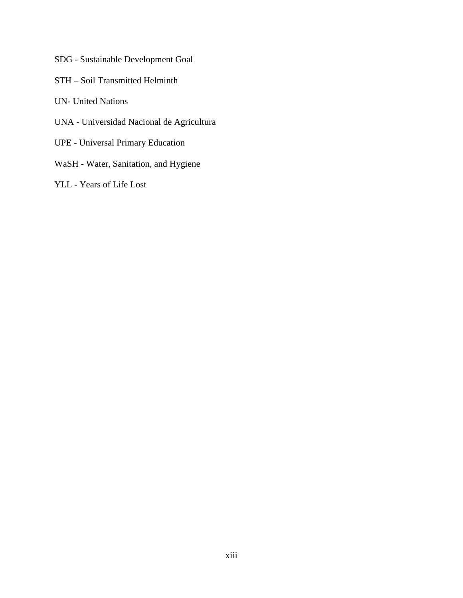SDG - Sustainable Development Goal

STH – Soil Transmitted Helminth

UN- United Nations

- UNA Universidad Nacional de Agricultura
- UPE Universal Primary Education
- WaSH Water, Sanitation, and Hygiene
- YLL Years of Life Lost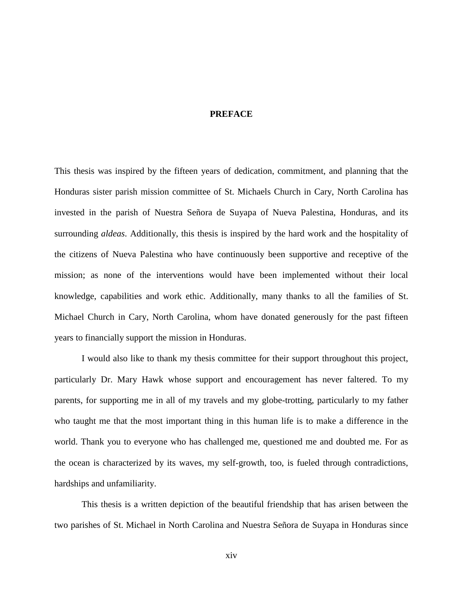#### **PREFACE**

<span id="page-13-0"></span>This thesis was inspired by the fifteen years of dedication, commitment, and planning that the Honduras sister parish mission committee of St. Michaels Church in Cary, North Carolina has invested in the parish of Nuestra Señora de Suyapa of Nueva Palestina, Honduras, and its surrounding *aldeas*. Additionally, this thesis is inspired by the hard work and the hospitality of the citizens of Nueva Palestina who have continuously been supportive and receptive of the mission; as none of the interventions would have been implemented without their local knowledge, capabilities and work ethic. Additionally, many thanks to all the families of St. Michael Church in Cary, North Carolina, whom have donated generously for the past fifteen years to financially support the mission in Honduras.

I would also like to thank my thesis committee for their support throughout this project, particularly Dr. Mary Hawk whose support and encouragement has never faltered. To my parents, for supporting me in all of my travels and my globe-trotting, particularly to my father who taught me that the most important thing in this human life is to make a difference in the world. Thank you to everyone who has challenged me, questioned me and doubted me. For as the ocean is characterized by its waves, my self-growth, too, is fueled through contradictions, hardships and unfamiliarity.

This thesis is a written depiction of the beautiful friendship that has arisen between the two parishes of St. Michael in North Carolina and Nuestra Señora de Suyapa in Honduras since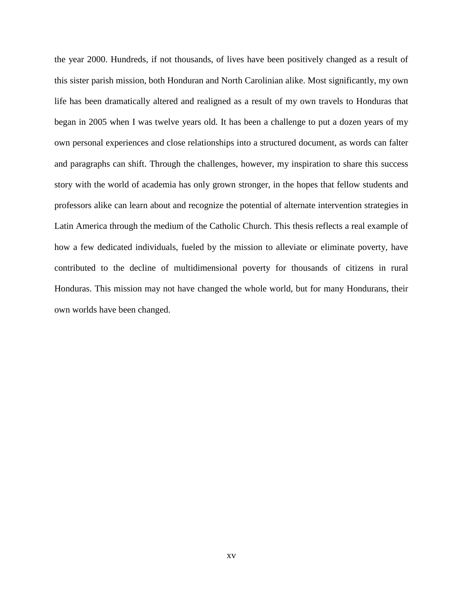the year 2000. Hundreds, if not thousands, of lives have been positively changed as a result of this sister parish mission, both Honduran and North Carolinian alike. Most significantly, my own life has been dramatically altered and realigned as a result of my own travels to Honduras that began in 2005 when I was twelve years old. It has been a challenge to put a dozen years of my own personal experiences and close relationships into a structured document, as words can falter and paragraphs can shift. Through the challenges, however, my inspiration to share this success story with the world of academia has only grown stronger, in the hopes that fellow students and professors alike can learn about and recognize the potential of alternate intervention strategies in Latin America through the medium of the Catholic Church. This thesis reflects a real example of how a few dedicated individuals, fueled by the mission to alleviate or eliminate poverty, have contributed to the decline of multidimensional poverty for thousands of citizens in rural Honduras. This mission may not have changed the whole world, but for many Hondurans, their own worlds have been changed.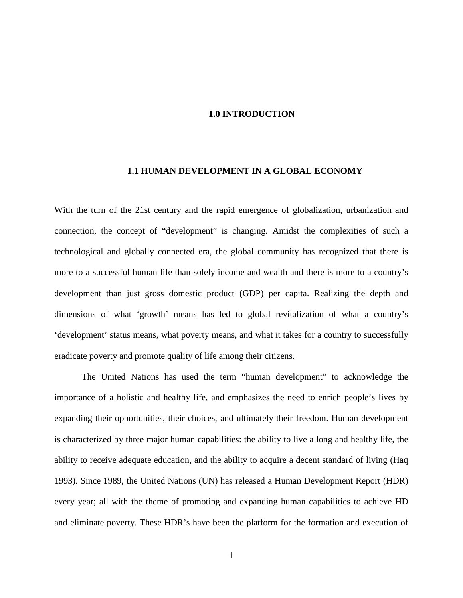#### **1.0 INTRODUCTION**

#### <span id="page-15-0"></span>**1.1 HUMAN DEVELOPMENT IN A GLOBAL ECONOMY**

<span id="page-15-1"></span>With the turn of the 21st century and the rapid emergence of globalization, urbanization and connection, the concept of "development" is changing. Amidst the complexities of such a technological and globally connected era, the global community has recognized that there is more to a successful human life than solely income and wealth and there is more to a country's development than just gross domestic product (GDP) per capita. Realizing the depth and dimensions of what 'growth' means has led to global revitalization of what a country's 'development' status means, what poverty means, and what it takes for a country to successfully eradicate poverty and promote quality of life among their citizens.

The United Nations has used the term "human development" to acknowledge the importance of a holistic and healthy life, and emphasizes the need to enrich people's lives by expanding their opportunities, their choices, and ultimately their freedom. Human development is characterized by three major human capabilities: the ability to live a long and healthy life, the ability to receive adequate education, and the ability to acquire a decent standard of living (Haq 1993). Since 1989, the United Nations (UN) has released a Human Development Report (HDR) every year; all with the theme of promoting and expanding human capabilities to achieve HD and eliminate poverty. These HDR's have been the platform for the formation and execution of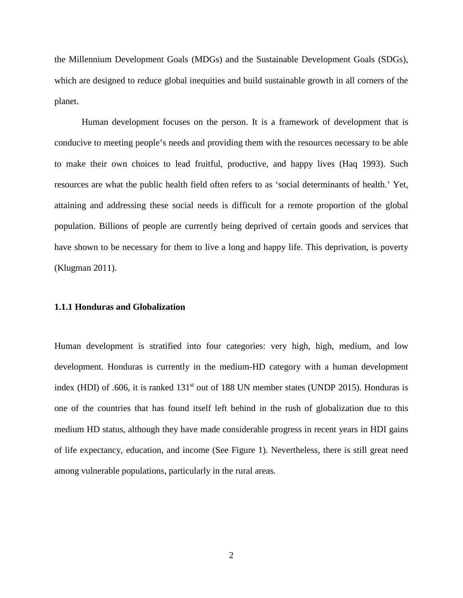the Millennium Development Goals (MDGs) and the Sustainable Development Goals (SDGs), which are designed to reduce global inequities and build sustainable growth in all corners of the planet.

Human development focuses on the person. It is a framework of development that is conducive to meeting people's needs and providing them with the resources necessary to be able to make their own choices to lead fruitful, productive, and happy lives (Haq 1993). Such resources are what the public health field often refers to as 'social determinants of health.' Yet, attaining and addressing these social needs is difficult for a remote proportion of the global population. Billions of people are currently being deprived of certain goods and services that have shown to be necessary for them to live a long and happy life. This deprivation, is poverty (Klugman 2011).

#### <span id="page-16-0"></span>**1.1.1 Honduras and Globalization**

Human development is stratified into four categories: very high, high, medium, and low development. Honduras is currently in the medium-HD category with a human development index (HDI) of .606, it is ranked  $131<sup>st</sup>$  out of 188 UN member states (UNDP 2015). Honduras is one of the countries that has found itself left behind in the rush of globalization due to this medium HD status, although they have made considerable progress in recent years in HDI gains of life expectancy, education, and income (See Figure 1). Nevertheless, there is still great need among vulnerable populations, particularly in the rural areas.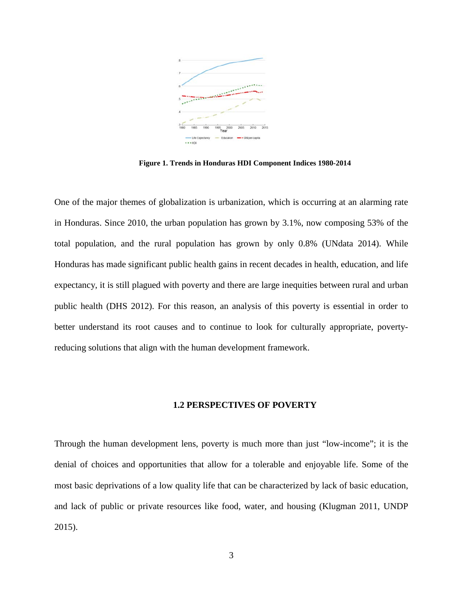

**Figure 1. Trends in Honduras HDI Component Indices 1980-2014**

<span id="page-17-1"></span>One of the major themes of globalization is urbanization, which is occurring at an alarming rate in Honduras. Since 2010, the urban population has grown by 3.1%, now composing 53% of the total population, and the rural population has grown by only 0.8% (UNdata 2014). While Honduras has made significant public health gains in recent decades in health, education, and life expectancy, it is still plagued with poverty and there are large inequities between rural and urban public health (DHS 2012). For this reason, an analysis of this poverty is essential in order to better understand its root causes and to continue to look for culturally appropriate, povertyreducing solutions that align with the human development framework.

#### **1.2 PERSPECTIVES OF POVERTY**

<span id="page-17-0"></span>Through the human development lens, poverty is much more than just "low-income"; it is the denial of choices and opportunities that allow for a tolerable and enjoyable life. Some of the most basic deprivations of a low quality life that can be characterized by lack of basic education, and lack of public or private resources like food, water, and housing (Klugman 2011, UNDP 2015).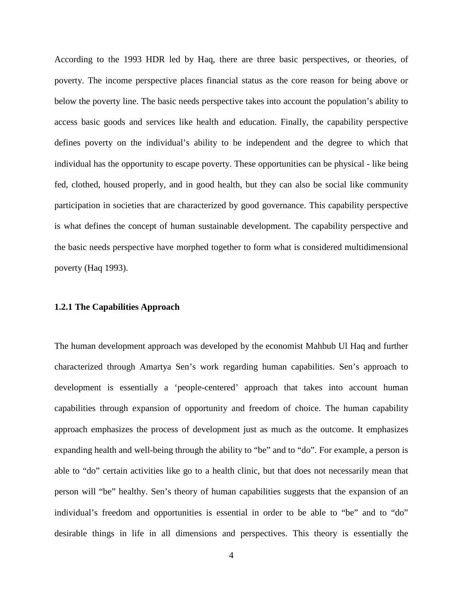According to the 1993 HDR led by Haq, there are three basic perspectives, or theories, of poverty. The income perspective places financial status as the core reason for being above or below the poverty line. The basic needs perspective takes into account the population's ability to access basic goods and services like health and education. Finally, the capability perspective defines poverty on the individual's ability to be independent and the degree to which that individual has the opportunity to escape poverty. These opportunities can be physical - like being fed, clothed, housed properly, and in good health, but they can also be social like community participation in societies that are characterized by good governance. This capability perspective is what defines the concept of human sustainable development. The capability perspective and the basic needs perspective have morphed together to form what is considered multidimensional poverty (Haq 1993).

#### <span id="page-18-0"></span>**1.2.1 The Capabilities Approach**

The human development approach was developed by the economist Mahbub Ul Haq and further characterized through Amartya Sen's work regarding human capabilities. Sen's approach to development is essentially a 'people-centered' approach that takes into account human capabilities through expansion of opportunity and freedom of choice. The human capability approach emphasizes the process of development just as much as the outcome. It emphasizes expanding health and well-being through the ability to "be" and to "do". For example, a person is able to "do" certain activities like go to a health clinic, but that does not necessarily mean that person will "be" healthy. Sen's theory of human capabilities suggests that the expansion of an individual's freedom and opportunities is essential in order to be able to "be" and to "do" desirable things in life in all dimensions and perspectives. This theory is essentially the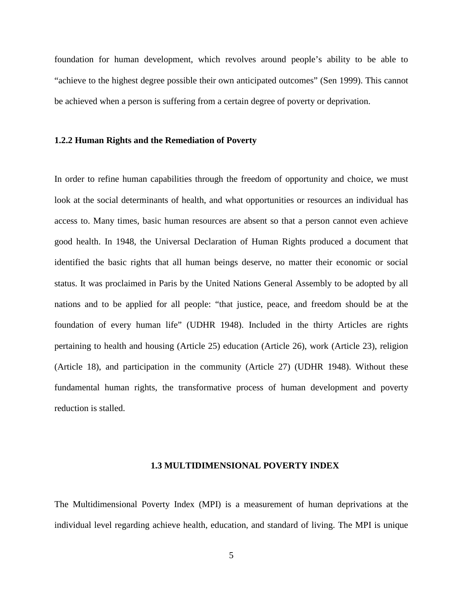foundation for human development, which revolves around people's ability to be able to "achieve to the highest degree possible their own anticipated outcomes" (Sen 1999). This cannot be achieved when a person is suffering from a certain degree of poverty or deprivation.

#### <span id="page-19-0"></span>**1.2.2 Human Rights and the Remediation of Poverty**

In order to refine human capabilities through the freedom of opportunity and choice, we must look at the social determinants of health, and what opportunities or resources an individual has access to. Many times, basic human resources are absent so that a person cannot even achieve good health. In 1948, the Universal Declaration of Human Rights produced a document that identified the basic rights that all human beings deserve, no matter their economic or social status. It was proclaimed in Paris by the United Nations General Assembly to be adopted by all nations and to be applied for all people: "that justice, peace, and freedom should be at the foundation of every human life" (UDHR 1948). Included in the thirty Articles are rights pertaining to health and housing (Article 25) education (Article 26), work (Article 23), religion (Article 18), and participation in the community (Article 27) (UDHR 1948). Without these fundamental human rights, the transformative process of human development and poverty reduction is stalled.

#### **1.3 MULTIDIMENSIONAL POVERTY INDEX**

<span id="page-19-1"></span>The Multidimensional Poverty Index (MPI) is a measurement of human deprivations at the individual level regarding achieve health, education, and standard of living. The MPI is unique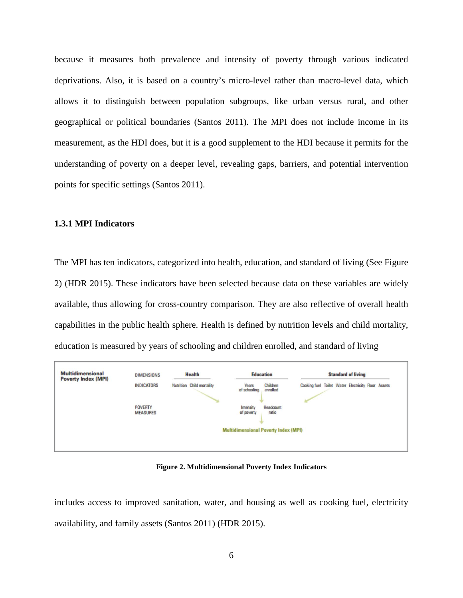because it measures both prevalence and intensity of poverty through various indicated deprivations. Also, it is based on a country's micro-level rather than macro-level data, which allows it to distinguish between population subgroups, like urban versus rural, and other geographical or political boundaries (Santos 2011). The MPI does not include income in its measurement, as the HDI does, but it is a good supplement to the HDI because it permits for the understanding of poverty on a deeper level, revealing gaps, barriers, and potential intervention points for specific settings (Santos 2011).

#### <span id="page-20-0"></span>**1.3.1 MPI Indicators**

The MPI has ten indicators, categorized into health, education, and standard of living (See Figure 2) (HDR 2015). These indicators have been selected because data on these variables are widely available, thus allowing for cross-country comparison. They are also reflective of overall health capabilities in the public health sphere. Health is defined by nutrition levels and child mortality, education is measured by years of schooling and children enrolled, and standard of living



**Figure 2. Multidimensional Poverty Index Indicators**

<span id="page-20-1"></span>includes access to improved sanitation, water, and housing as well as cooking fuel, electricity availability, and family assets (Santos 2011) (HDR 2015).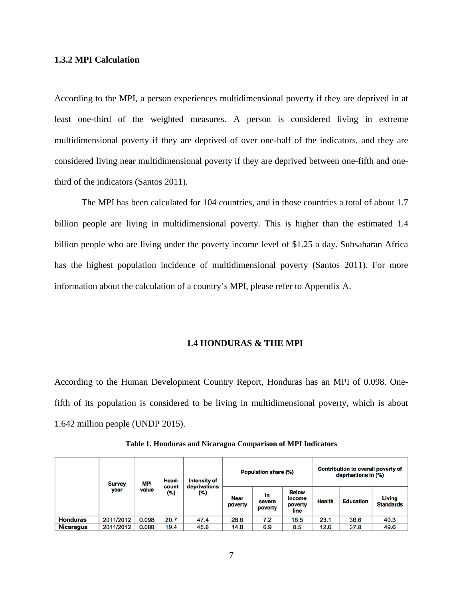#### <span id="page-21-0"></span>**1.3.2 MPI Calculation**

According to the MPI, a person experiences multidimensional poverty if they are deprived in at least one-third of the weighted measures. A person is considered living in extreme multidimensional poverty if they are deprived of over one-half of the indicators, and they are considered living near multidimensional poverty if they are deprived between one-fifth and onethird of the indicators (Santos 2011).

The MPI has been calculated for 104 countries, and in those countries a total of about 1.7 billion people are living in multidimensional poverty. This is higher than the estimated 1.4 billion people who are living under the poverty income level of \$1.25 a day. Subsaharan Africa has the highest population incidence of multidimensional poverty (Santos 2011). For more information about the calculation of a country's MPI, please refer to Appendix A.

#### **1.4 HONDURAS & THE MPI**

<span id="page-21-1"></span>According to the Human Development Country Report, Honduras has an MPI of 0.098. Onefifth of its population is considered to be living in multidimensional poverty, which is about 1.642 million people (UNDP 2015).

<span id="page-21-2"></span>

|                 | <b>Survey</b><br>year | MPI<br>value | Head-<br>count<br>(%) | Intensity of<br>deprivations |                        | Contribution to overall poverty of<br>Population share (%)<br>deprivations in (%) |                                           |               |                  |                            |
|-----------------|-----------------------|--------------|-----------------------|------------------------------|------------------------|-----------------------------------------------------------------------------------|-------------------------------------------|---------------|------------------|----------------------------|
|                 |                       |              |                       | (%)                          | <b>Near</b><br>poverty | In<br>severe<br>poverty                                                           | <b>Below</b><br>income<br>poverty<br>line | <b>Health</b> | <b>Education</b> | Living<br><b>Standards</b> |
| <b>Honduras</b> | 2011/2012             | 0.098        | 20.7                  | 47.4                         | 28.6                   | 7.2                                                                               | 16.5                                      | 23.1          | 36.6             | 40.3                       |
| Nicaragua       | 2011/2012             | 0.088        | 19.4                  | 45.6                         | 14.8                   | 6.9                                                                               | 8.5                                       | 12.6          | 37.8             | 49.6                       |

**Table 1. Honduras and Nicaragua Comparison of MPI Indicators**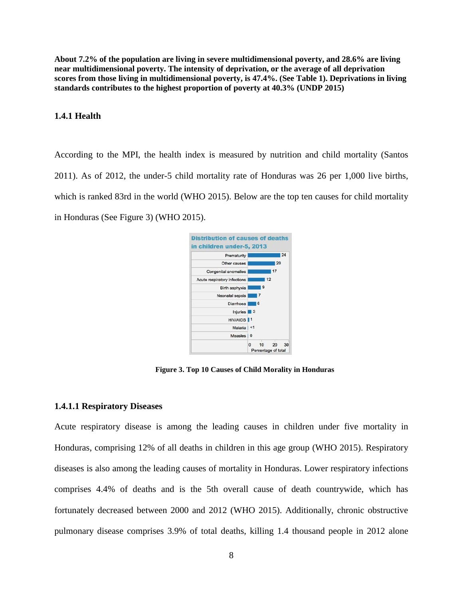**About 7.2% of the population are living in severe multidimensional poverty, and 28.6% are living near multidimensional poverty. The intensity of deprivation, or the average of all deprivation scores from those living in multidimensional poverty, is 47.4%. (See Table 1). Deprivations in living standards contributes to the highest proportion of poverty at 40.3% (UNDP 2015)**

#### <span id="page-22-0"></span>**1.4.1 Health**

According to the MPI, the health index is measured by nutrition and child mortality (Santos 2011). As of 2012, the under-5 child mortality rate of Honduras was 26 per 1,000 live births, which is ranked 83rd in the world (WHO 2015). Below are the top ten causes for child mortality in Honduras (See Figure 3) (WHO 2015).



**Figure 3. Top 10 Causes of Child Morality in Honduras**

#### <span id="page-22-2"></span><span id="page-22-1"></span>**1.4.1.1 Respiratory Diseases**

Acute respiratory disease is among the leading causes in children under five mortality in Honduras, comprising 12% of all deaths in children in this age group (WHO 2015). Respiratory diseases is also among the leading causes of mortality in Honduras. Lower respiratory infections comprises 4.4% of deaths and is the 5th overall cause of death countrywide, which has fortunately decreased between 2000 and 2012 (WHO 2015). Additionally, chronic obstructive pulmonary disease comprises 3.9% of total deaths, killing 1.4 thousand people in 2012 alone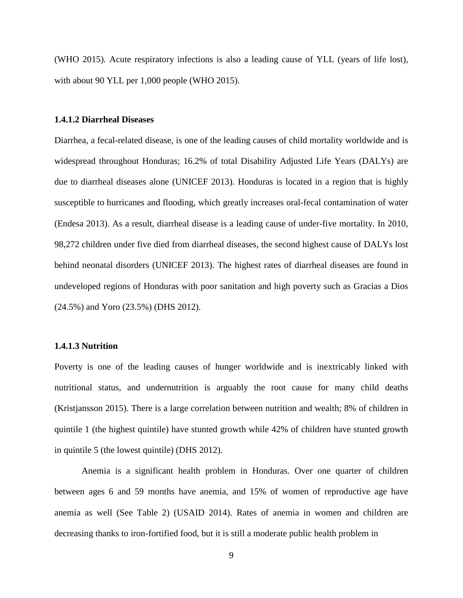(WHO 2015). Acute respiratory infections is also a leading cause of YLL (years of life lost), with about 90 YLL per 1,000 people (WHO 2015).

#### <span id="page-23-0"></span>**1.4.1.2 Diarrheal Diseases**

Diarrhea, a fecal-related disease, is one of the leading causes of child mortality worldwide and is widespread throughout Honduras; 16.2% of total Disability Adjusted Life Years (DALYs) are due to diarrheal diseases alone (UNICEF 2013). Honduras is located in a region that is highly susceptible to hurricanes and flooding, which greatly increases oral-fecal contamination of water (Endesa 2013). As a result, diarrheal disease is a leading cause of under-five mortality. In 2010, 98,272 children under five died from diarrheal diseases, the second highest cause of DALYs lost behind neonatal disorders (UNICEF 2013). The highest rates of diarrheal diseases are found in undeveloped regions of Honduras with poor sanitation and high poverty such as Gracias a Dios (24.5%) and Yoro (23.5%) (DHS 2012).

#### <span id="page-23-1"></span>**1.4.1.3 Nutrition**

Poverty is one of the leading causes of hunger worldwide and is inextricably linked with nutritional status, and undernutrition is arguably the root cause for many child deaths (Kristjansson 2015). There is a large correlation between nutrition and wealth; 8% of children in quintile 1 (the highest quintile) have stunted growth while 42% of children have stunted growth in quintile 5 (the lowest quintile) (DHS 2012).

Anemia is a significant health problem in Honduras. Over one quarter of children between ages 6 and 59 months have anemia, and 15% of women of reproductive age have anemia as well (See Table 2) (USAID 2014). Rates of anemia in women and children are decreasing thanks to iron-fortified food, but it is still a moderate public health problem in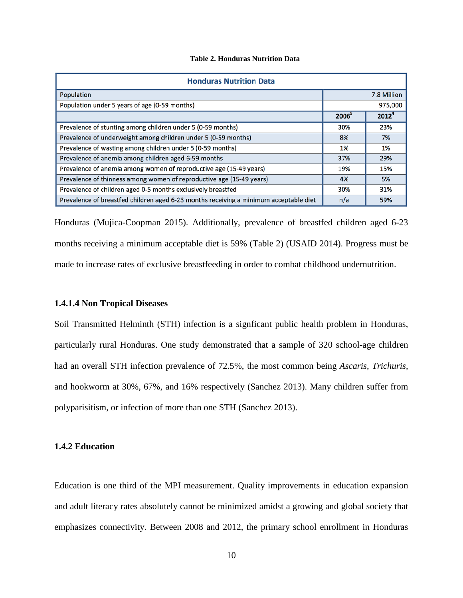#### **Table 2. Honduras Nutrition Data**

<span id="page-24-2"></span>

| <b>Honduras Nutrition Data</b>                                                        |                   |                   |  |  |  |  |
|---------------------------------------------------------------------------------------|-------------------|-------------------|--|--|--|--|
| Population                                                                            |                   | 7.8 Million       |  |  |  |  |
| Population under 5 years of age (0-59 months)                                         | 975,000           |                   |  |  |  |  |
|                                                                                       | 2006 <sup>5</sup> | 2012 <sup>4</sup> |  |  |  |  |
| Prevalence of stunting among children under 5 (0-59 months)                           | 30%               | 23%               |  |  |  |  |
| Prevalence of underweight among children under 5 (0-59 months)                        | 8%                | 7%                |  |  |  |  |
| Prevalence of wasting among children under 5 (0-59 months)                            | 1%                | 1%                |  |  |  |  |
| Prevalence of anemia among children aged 6-59 months                                  | 37%               | 29%               |  |  |  |  |
| Prevalence of anemia among women of reproductive age (15-49 years)                    | 19%               | 15%               |  |  |  |  |
| Prevalence of thinness among women of reproductive age (15-49 years)                  | 4%                | 5%                |  |  |  |  |
| Prevalence of children aged 0-5 months exclusively breastfed                          | 30%               | 31%               |  |  |  |  |
| Prevalence of breastfed children aged 6-23 months receiving a minimum acceptable diet | n/a               | 59%               |  |  |  |  |

Honduras (Mujica-Coopman 2015). Additionally, prevalence of breastfed children aged 6-23 months receiving a minimum acceptable diet is 59% (Table 2) (USAID 2014). Progress must be made to increase rates of exclusive breastfeeding in order to combat childhood undernutrition.

#### <span id="page-24-0"></span>**1.4.1.4 Non Tropical Diseases**

Soil Transmitted Helminth (STH) infection is a signficant public health problem in Honduras, particularly rural Honduras. One study demonstrated that a sample of 320 school-age children had an overall STH infection prevalence of 72.5%, the most common being *Ascaris*, *Trichuris*, and hookworm at 30%, 67%, and 16% respectively (Sanchez 2013). Many children suffer from polyparisitism, or infection of more than one STH (Sanchez 2013).

#### <span id="page-24-1"></span>**1.4.2 Education**

Education is one third of the MPI measurement. Quality improvements in education expansion and adult literacy rates absolutely cannot be minimized amidst a growing and global society that emphasizes connectivity. Between 2008 and 2012, the primary school enrollment in Honduras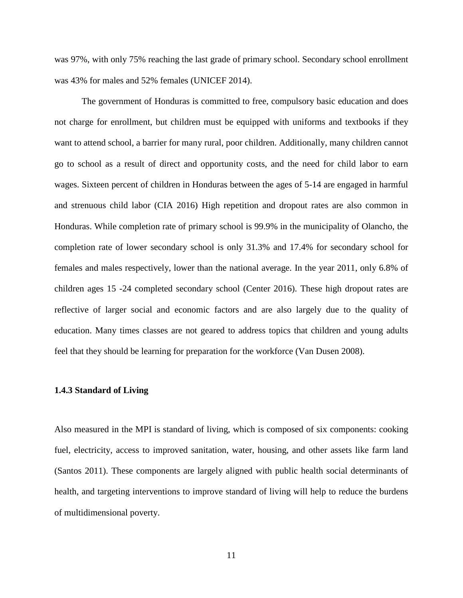was 97%, with only 75% reaching the last grade of primary school. Secondary school enrollment was 43% for males and 52% females (UNICEF 2014).

The government of Honduras is committed to free, compulsory basic education and does not charge for enrollment, but children must be equipped with uniforms and textbooks if they want to attend school, a barrier for many rural, poor children. Additionally, many children cannot go to school as a result of direct and opportunity costs, and the need for child labor to earn wages. Sixteen percent of children in Honduras between the ages of 5-14 are engaged in harmful and strenuous child labor (CIA 2016) High repetition and dropout rates are also common in Honduras. While completion rate of primary school is 99.9% in the municipality of Olancho, the completion rate of lower secondary school is only 31.3% and 17.4% for secondary school for females and males respectively, lower than the national average. In the year 2011, only 6.8% of children ages 15 -24 completed secondary school (Center 2016). These high dropout rates are reflective of larger social and economic factors and are also largely due to the quality of education. Many times classes are not geared to address topics that children and young adults feel that they should be learning for preparation for the workforce (Van Dusen 2008).

#### <span id="page-25-0"></span>**1.4.3 Standard of Living**

Also measured in the MPI is standard of living, which is composed of six components: cooking fuel, electricity, access to improved sanitation, water, housing, and other assets like farm land (Santos 2011). These components are largely aligned with public health social determinants of health, and targeting interventions to improve standard of living will help to reduce the burdens of multidimensional poverty.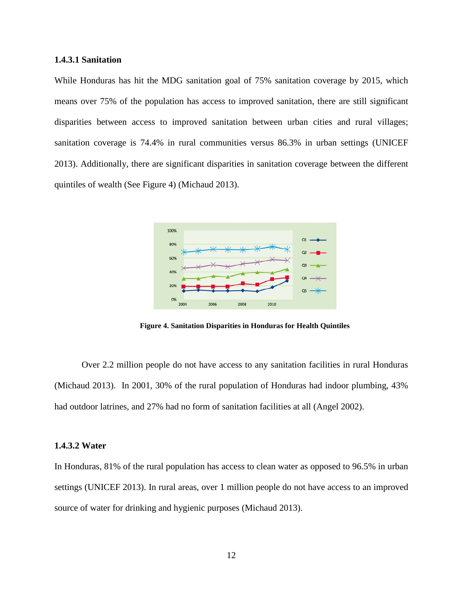#### <span id="page-26-0"></span>**1.4.3.1 Sanitation**

While Honduras has hit the MDG sanitation goal of 75% sanitation coverage by 2015, which means over 75% of the population has access to improved sanitation, there are still significant disparities between access to improved sanitation between urban cities and rural villages; sanitation coverage is 74.4% in rural communities versus 86.3% in urban settings (UNICEF 2013). Additionally, there are significant disparities in sanitation coverage between the different quintiles of wealth (See Figure 4) (Michaud 2013).



**Figure 4. Sanitation Disparities in Honduras for Health Quintiles**

<span id="page-26-2"></span>Over 2.2 million people do not have access to any sanitation facilities in rural Honduras (Michaud 2013). In 2001, 30% of the rural population of Honduras had indoor plumbing, 43% had outdoor latrines, and 27% had no form of sanitation facilities at all (Angel 2002).

#### <span id="page-26-1"></span>**1.4.3.2 Water**

In Honduras, 81% of the rural population has access to clean water as opposed to 96.5% in urban settings (UNICEF 2013). In rural areas, over 1 million people do not have access to an improved source of water for drinking and hygienic purposes (Michaud 2013).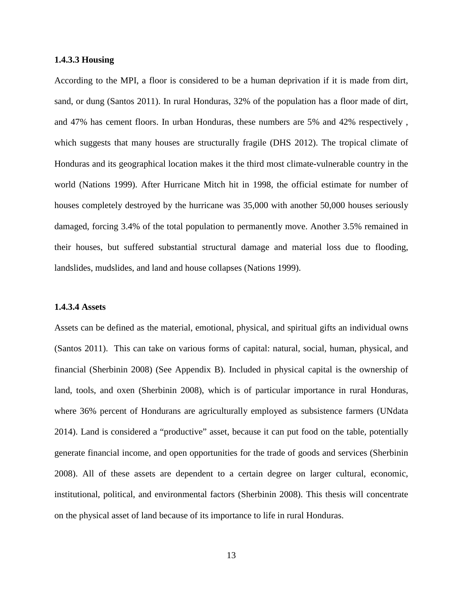#### <span id="page-27-0"></span>**1.4.3.3 Housing**

According to the MPI, a floor is considered to be a human deprivation if it is made from dirt, sand, or dung (Santos 2011). In rural Honduras, 32% of the population has a floor made of dirt, and 47% has cement floors. In urban Honduras, these numbers are 5% and 42% respectively , which suggests that many houses are structurally fragile (DHS 2012). The tropical climate of Honduras and its geographical location makes it the third most climate-vulnerable country in the world (Nations 1999). After Hurricane Mitch hit in 1998, the official estimate for number of houses completely destroyed by the hurricane was 35,000 with another 50,000 houses seriously damaged, forcing 3.4% of the total population to permanently move. Another 3.5% remained in their houses, but suffered substantial structural damage and material loss due to flooding, landslides, mudslides, and land and house collapses (Nations 1999).

#### <span id="page-27-1"></span>**1.4.3.4 Assets**

Assets can be defined as the material, emotional, physical, and spiritual gifts an individual owns (Santos 2011). This can take on various forms of capital: natural, social, human, physical, and financial (Sherbinin 2008) (See Appendix B). Included in physical capital is the ownership of land, tools, and oxen (Sherbinin 2008), which is of particular importance in rural Honduras, where 36% percent of Hondurans are agriculturally employed as subsistence farmers (UNdata 2014). Land is considered a "productive" asset, because it can put food on the table, potentially generate financial income, and open opportunities for the trade of goods and services (Sherbinin 2008). All of these assets are dependent to a certain degree on larger cultural, economic, institutional, political, and environmental factors (Sherbinin 2008). This thesis will concentrate on the physical asset of land because of its importance to life in rural Honduras.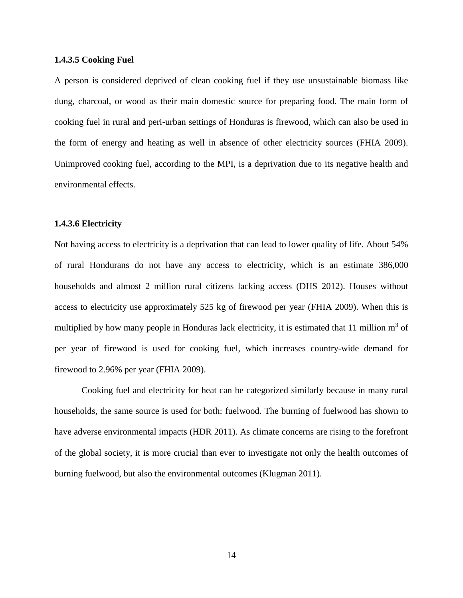#### <span id="page-28-0"></span>**1.4.3.5 Cooking Fuel**

A person is considered deprived of clean cooking fuel if they use unsustainable biomass like dung, charcoal, or wood as their main domestic source for preparing food. The main form of cooking fuel in rural and peri-urban settings of Honduras is firewood, which can also be used in the form of energy and heating as well in absence of other electricity sources (FHIA 2009). Unimproved cooking fuel, according to the MPI, is a deprivation due to its negative health and environmental effects.

#### <span id="page-28-1"></span>**1.4.3.6 Electricity**

Not having access to electricity is a deprivation that can lead to lower quality of life. About 54% of rural Hondurans do not have any access to electricity, which is an estimate 386,000 households and almost 2 million rural citizens lacking access (DHS 2012). Houses without access to electricity use approximately 525 kg of firewood per year (FHIA 2009). When this is multiplied by how many people in Honduras lack electricity, it is estimated that 11 million  $m<sup>3</sup>$  of per year of firewood is used for cooking fuel, which increases country-wide demand for firewood to 2.96% per year (FHIA 2009).

Cooking fuel and electricity for heat can be categorized similarly because in many rural households, the same source is used for both: fuelwood. The burning of fuelwood has shown to have adverse environmental impacts (HDR 2011). As climate concerns are rising to the forefront of the global society, it is more crucial than ever to investigate not only the health outcomes of burning fuelwood, but also the environmental outcomes (Klugman 2011).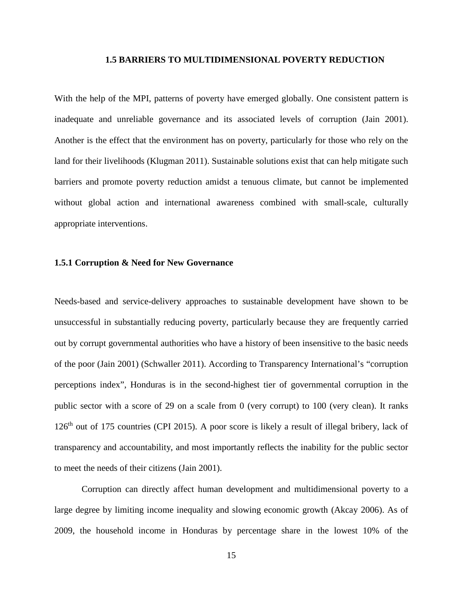#### **1.5 BARRIERS TO MULTIDIMENSIONAL POVERTY REDUCTION**

<span id="page-29-0"></span>With the help of the MPI, patterns of poverty have emerged globally. One consistent pattern is inadequate and unreliable governance and its associated levels of corruption (Jain 2001). Another is the effect that the environment has on poverty, particularly for those who rely on the land for their livelihoods (Klugman 2011). Sustainable solutions exist that can help mitigate such barriers and promote poverty reduction amidst a tenuous climate, but cannot be implemented without global action and international awareness combined with small-scale, culturally appropriate interventions.

#### <span id="page-29-1"></span>**1.5.1 Corruption & Need for New Governance**

Needs-based and service-delivery approaches to sustainable development have shown to be unsuccessful in substantially reducing poverty, particularly because they are frequently carried out by corrupt governmental authorities who have a history of been insensitive to the basic needs of the poor (Jain 2001) (Schwaller 2011). According to Transparency International's "corruption perceptions index", Honduras is in the second-highest tier of governmental corruption in the public sector with a score of 29 on a scale from 0 (very corrupt) to 100 (very clean). It ranks 126<sup>th</sup> out of 175 countries (CPI 2015). A poor score is likely a result of illegal bribery, lack of transparency and accountability, and most importantly reflects the inability for the public sector to meet the needs of their citizens (Jain 2001).

Corruption can directly affect human development and multidimensional poverty to a large degree by limiting income inequality and slowing economic growth (Akcay 2006). As of 2009, the household income in Honduras by percentage share in the lowest 10% of the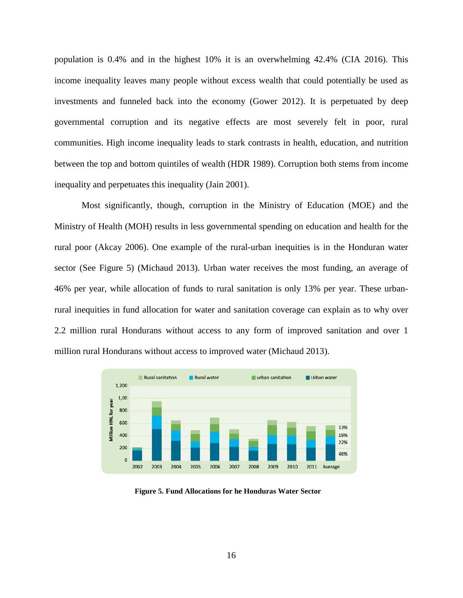population is 0.4% and in the highest 10% it is an overwhelming 42.4% (CIA 2016). This income inequality leaves many people without excess wealth that could potentially be used as investments and funneled back into the economy (Gower 2012). It is perpetuated by deep governmental corruption and its negative effects are most severely felt in poor, rural communities. High income inequality leads to stark contrasts in health, education, and nutrition between the top and bottom quintiles of wealth (HDR 1989). Corruption both stems from income inequality and perpetuates this inequality (Jain 2001).

Most significantly, though, corruption in the Ministry of Education (MOE) and the Ministry of Health (MOH) results in less governmental spending on education and health for the rural poor (Akcay 2006). One example of the rural-urban inequities is in the Honduran water sector (See Figure 5) (Michaud 2013). Urban water receives the most funding, an average of 46% per year, while allocation of funds to rural sanitation is only 13% per year. These urbanrural inequities in fund allocation for water and sanitation coverage can explain as to why over 2.2 million rural Hondurans without access to any form of improved sanitation and over 1 million rural Hondurans without access to improved water (Michaud 2013).



<span id="page-30-0"></span>**Figure 5. Fund Allocations for he Honduras Water Sector**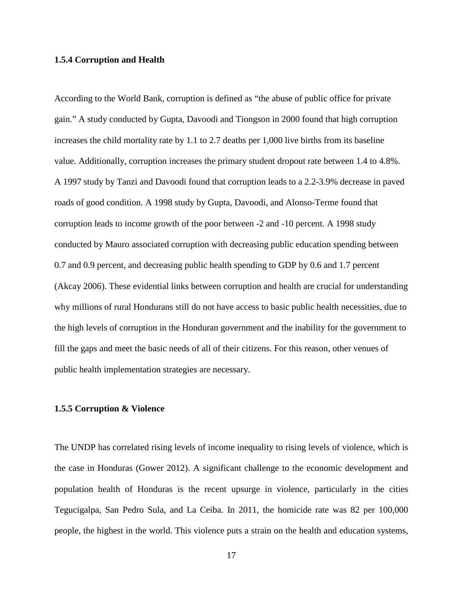#### <span id="page-31-0"></span>**1.5.4 Corruption and Health**

According to the World Bank, corruption is defined as "the abuse of public office for private gain." A study conducted by Gupta, Davoodi and Tiongson in 2000 found that high corruption increases the child mortality rate by 1.1 to 2.7 deaths per 1,000 live births from its baseline value. Additionally, corruption increases the primary student dropout rate between 1.4 to 4.8%. A 1997 study by Tanzi and Davoodi found that corruption leads to a 2.2-3.9% decrease in paved roads of good condition. A 1998 study by Gupta, Davoodi, and Alonso-Terme found that corruption leads to income growth of the poor between -2 and -10 percent. A 1998 study conducted by Mauro associated corruption with decreasing public education spending between 0.7 and 0.9 percent, and decreasing public health spending to GDP by 0.6 and 1.7 percent (Akcay 2006). These evidential links between corruption and health are crucial for understanding why millions of rural Hondurans still do not have access to basic public health necessities, due to the high levels of corruption in the Honduran government and the inability for the government to fill the gaps and meet the basic needs of all of their citizens. For this reason, other venues of public health implementation strategies are necessary.

#### <span id="page-31-1"></span>**1.5.5 Corruption & Violence**

The UNDP has correlated rising levels of income inequality to rising levels of violence, which is the case in Honduras (Gower 2012). A significant challenge to the economic development and population health of Honduras is the recent upsurge in violence, particularly in the cities Tegucigalpa, San Pedro Sula, and La Ceiba. In 2011, the homicide rate was 82 per 100,000 people, the highest in the world. This violence puts a strain on the health and education systems,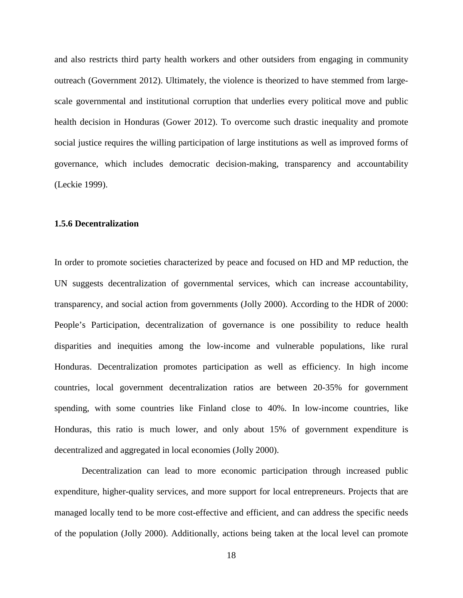and also restricts third party health workers and other outsiders from engaging in community outreach (Government 2012). Ultimately, the violence is theorized to have stemmed from largescale governmental and institutional corruption that underlies every political move and public health decision in Honduras (Gower 2012). To overcome such drastic inequality and promote social justice requires the willing participation of large institutions as well as improved forms of governance, which includes democratic decision-making, transparency and accountability (Leckie 1999).

#### <span id="page-32-0"></span>**1.5.6 Decentralization**

In order to promote societies characterized by peace and focused on HD and MP reduction, the UN suggests decentralization of governmental services, which can increase accountability, transparency, and social action from governments (Jolly 2000). According to the HDR of 2000: People's Participation, decentralization of governance is one possibility to reduce health disparities and inequities among the low-income and vulnerable populations, like rural Honduras. Decentralization promotes participation as well as efficiency. In high income countries, local government decentralization ratios are between 20-35% for government spending, with some countries like Finland close to 40%. In low-income countries, like Honduras, this ratio is much lower, and only about 15% of government expenditure is decentralized and aggregated in local economies (Jolly 2000).

Decentralization can lead to more economic participation through increased public expenditure, higher-quality services, and more support for local entrepreneurs. Projects that are managed locally tend to be more cost-effective and efficient, and can address the specific needs of the population (Jolly 2000). Additionally, actions being taken at the local level can promote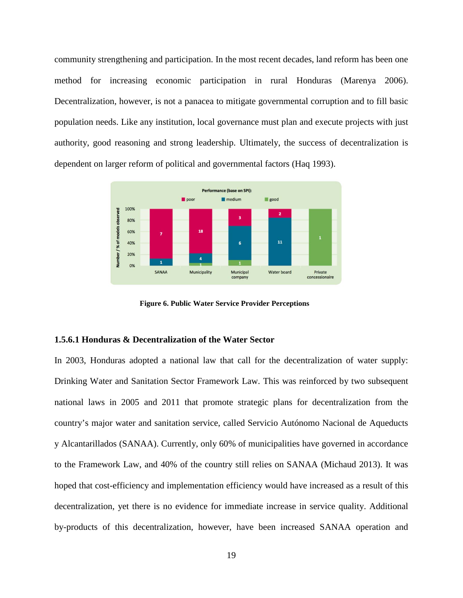community strengthening and participation. In the most recent decades, land reform has been one method for increasing economic participation in rural Honduras (Marenya 2006). Decentralization, however, is not a panacea to mitigate governmental corruption and to fill basic population needs. Like any institution, local governance must plan and execute projects with just authority, good reasoning and strong leadership. Ultimately, the success of decentralization is dependent on larger reform of political and governmental factors (Haq 1993).



**Figure 6. Public Water Service Provider Perceptions**

#### <span id="page-33-1"></span><span id="page-33-0"></span>**1.5.6.1 Honduras & Decentralization of the Water Sector**

In 2003, Honduras adopted a national law that call for the decentralization of water supply: Drinking Water and Sanitation Sector Framework Law. This was reinforced by two subsequent national laws in 2005 and 2011 that promote strategic plans for decentralization from the country's major water and sanitation service, called Servicio Autónomo Nacional de Aqueducts y Alcantarillados (SANAA). Currently, only 60% of municipalities have governed in accordance to the Framework Law, and 40% of the country still relies on SANAA (Michaud 2013). It was hoped that cost-efficiency and implementation efficiency would have increased as a result of this decentralization, yet there is no evidence for immediate increase in service quality. Additional by-products of this decentralization, however, have been increased SANAA operation and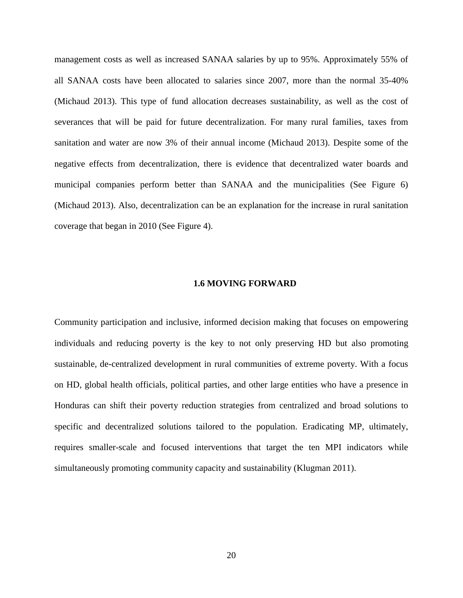management costs as well as increased SANAA salaries by up to 95%. Approximately 55% of all SANAA costs have been allocated to salaries since 2007, more than the normal 35-40% (Michaud 2013). This type of fund allocation decreases sustainability, as well as the cost of severances that will be paid for future decentralization. For many rural families, taxes from sanitation and water are now 3% of their annual income (Michaud 2013). Despite some of the negative effects from decentralization, there is evidence that decentralized water boards and municipal companies perform better than SANAA and the municipalities (See Figure 6) (Michaud 2013). Also, decentralization can be an explanation for the increase in rural sanitation coverage that began in 2010 (See Figure 4).

#### **1.6 MOVING FORWARD**

<span id="page-34-0"></span>Community participation and inclusive, informed decision making that focuses on empowering individuals and reducing poverty is the key to not only preserving HD but also promoting sustainable, de-centralized development in rural communities of extreme poverty. With a focus on HD, global health officials, political parties, and other large entities who have a presence in Honduras can shift their poverty reduction strategies from centralized and broad solutions to specific and decentralized solutions tailored to the population. Eradicating MP, ultimately, requires smaller-scale and focused interventions that target the ten MPI indicators while simultaneously promoting community capacity and sustainability (Klugman 2011).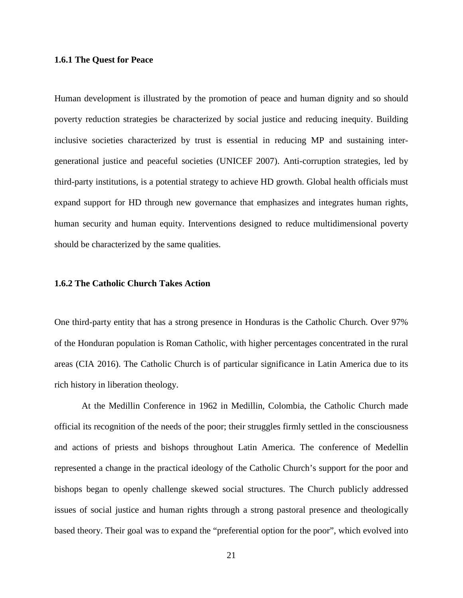#### <span id="page-35-0"></span>**1.6.1 The Quest for Peace**

Human development is illustrated by the promotion of peace and human dignity and so should poverty reduction strategies be characterized by social justice and reducing inequity. Building inclusive societies characterized by trust is essential in reducing MP and sustaining intergenerational justice and peaceful societies (UNICEF 2007). Anti-corruption strategies, led by third-party institutions, is a potential strategy to achieve HD growth. Global health officials must expand support for HD through new governance that emphasizes and integrates human rights, human security and human equity. Interventions designed to reduce multidimensional poverty should be characterized by the same qualities.

#### <span id="page-35-1"></span>**1.6.2 The Catholic Church Takes Action**

One third-party entity that has a strong presence in Honduras is the Catholic Church. Over 97% of the Honduran population is Roman Catholic, with higher percentages concentrated in the rural areas (CIA 2016). The Catholic Church is of particular significance in Latin America due to its rich history in liberation theology.

At the Medillin Conference in 1962 in Medillin, Colombia, the Catholic Church made official its recognition of the needs of the poor; their struggles firmly settled in the consciousness and actions of priests and bishops throughout Latin America. The conference of Medellin represented a change in the practical ideology of the Catholic Church's support for the poor and bishops began to openly challenge skewed social structures. The Church publicly addressed issues of social justice and human rights through a strong pastoral presence and theologically based theory. Their goal was to expand the "preferential option for the poor", which evolved into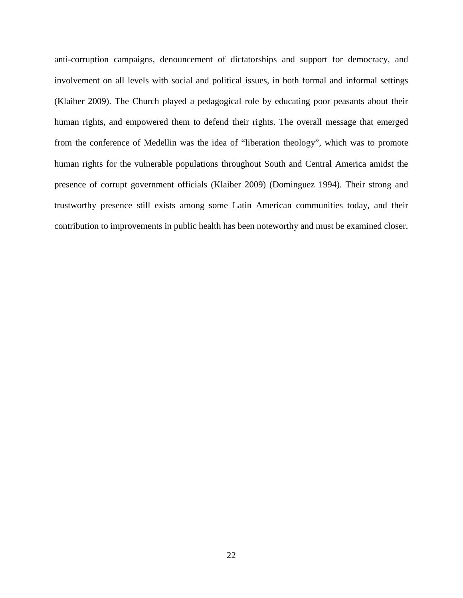anti-corruption campaigns, denouncement of dictatorships and support for democracy, and involvement on all levels with social and political issues, in both formal and informal settings (Klaiber 2009). The Church played a pedagogical role by educating poor peasants about their human rights, and empowered them to defend their rights. The overall message that emerged from the conference of Medellin was the idea of "liberation theology", which was to promote human rights for the vulnerable populations throughout South and Central America amidst the presence of corrupt government officials (Klaiber 2009) (Dominguez 1994). Their strong and trustworthy presence still exists among some Latin American communities today, and their contribution to improvements in public health has been noteworthy and must be examined closer.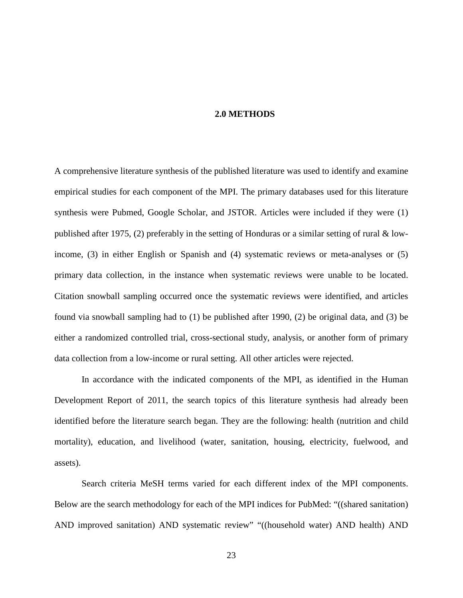## **2.0 METHODS**

A comprehensive literature synthesis of the published literature was used to identify and examine empirical studies for each component of the MPI. The primary databases used for this literature synthesis were Pubmed, Google Scholar, and JSTOR. Articles were included if they were (1) published after 1975, (2) preferably in the setting of Honduras or a similar setting of rural & lowincome, (3) in either English or Spanish and (4) systematic reviews or meta-analyses or (5) primary data collection, in the instance when systematic reviews were unable to be located. Citation snowball sampling occurred once the systematic reviews were identified, and articles found via snowball sampling had to (1) be published after 1990, (2) be original data, and (3) be either a randomized controlled trial, cross-sectional study, analysis, or another form of primary data collection from a low-income or rural setting. All other articles were rejected.

In accordance with the indicated components of the MPI, as identified in the Human Development Report of 2011, the search topics of this literature synthesis had already been identified before the literature search began. They are the following: health (nutrition and child mortality), education, and livelihood (water, sanitation, housing, electricity, fuelwood, and assets).

Search criteria MeSH terms varied for each different index of the MPI components. Below are the search methodology for each of the MPI indices for PubMed: "((shared sanitation) AND improved sanitation) AND systematic review" "((household water) AND health) AND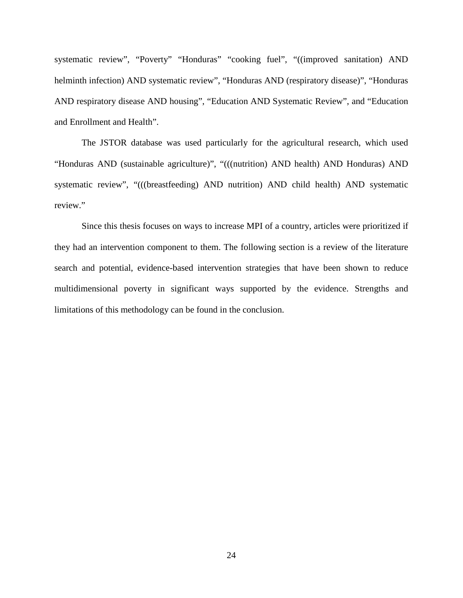systematic review", "Poverty" "Honduras" "cooking fuel", "((improved sanitation) AND helminth infection) AND systematic review", "Honduras AND (respiratory disease)", "Honduras AND respiratory disease AND housing", "Education AND Systematic Review", and "Education and Enrollment and Health".

The JSTOR database was used particularly for the agricultural research, which used "Honduras AND (sustainable agriculture)", "(((nutrition) AND health) AND Honduras) AND systematic review", "(((breastfeeding) AND nutrition) AND child health) AND systematic review."

Since this thesis focuses on ways to increase MPI of a country, articles were prioritized if they had an intervention component to them. The following section is a review of the literature search and potential, evidence-based intervention strategies that have been shown to reduce multidimensional poverty in significant ways supported by the evidence. Strengths and limitations of this methodology can be found in the conclusion.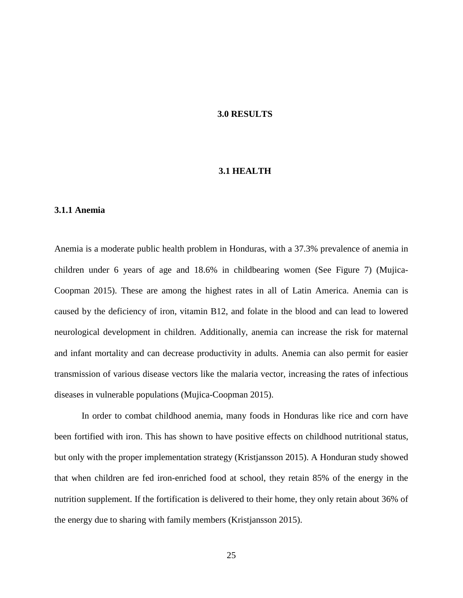## **3.0 RESULTS**

#### **3.1 HEALTH**

## **3.1.1 Anemia**

Anemia is a moderate public health problem in Honduras, with a 37.3% prevalence of anemia in children under 6 years of age and 18.6% in childbearing women (See Figure 7) (Mujica-Coopman 2015). These are among the highest rates in all of Latin America. Anemia can is caused by the deficiency of iron, vitamin B12, and folate in the blood and can lead to lowered neurological development in children. Additionally, anemia can increase the risk for maternal and infant mortality and can decrease productivity in adults. Anemia can also permit for easier transmission of various disease vectors like the malaria vector, increasing the rates of infectious diseases in vulnerable populations (Mujica-Coopman 2015).

In order to combat childhood anemia, many foods in Honduras like rice and corn have been fortified with iron. This has shown to have positive effects on childhood nutritional status, but only with the proper implementation strategy (Kristjansson 2015). A Honduran study showed that when children are fed iron-enriched food at school, they retain 85% of the energy in the nutrition supplement. If the fortification is delivered to their home, they only retain about 36% of the energy due to sharing with family members (Kristjansson 2015).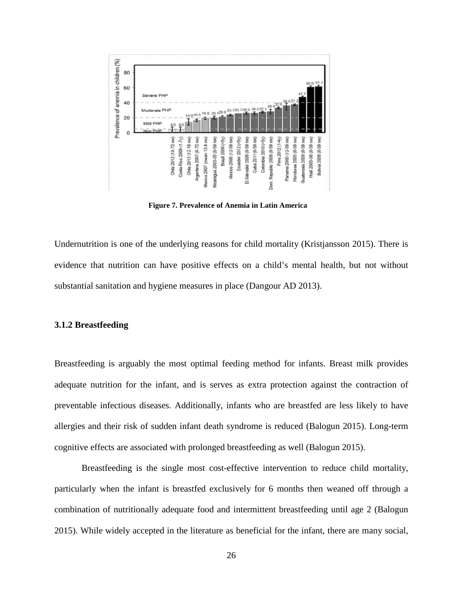

**Figure 7. Prevalence of Anemia in Latin America**

Undernutrition is one of the underlying reasons for child mortality (Kristjansson 2015). There is evidence that nutrition can have positive effects on a child's mental health, but not without substantial sanitation and hygiene measures in place (Dangour AD 2013).

## **3.1.2 Breastfeeding**

Breastfeeding is arguably the most optimal feeding method for infants. Breast milk provides adequate nutrition for the infant, and is serves as extra protection against the contraction of preventable infectious diseases. Additionally, infants who are breastfed are less likely to have allergies and their risk of sudden infant death syndrome is reduced (Balogun 2015). Long-term cognitive effects are associated with prolonged breastfeeding as well (Balogun 2015).

Breastfeeding is the single most cost-effective intervention to reduce child mortality, particularly when the infant is breastfed exclusively for 6 months then weaned off through a combination of nutritionally adequate food and intermittent breastfeeding until age 2 (Balogun 2015). While widely accepted in the literature as beneficial for the infant, there are many social,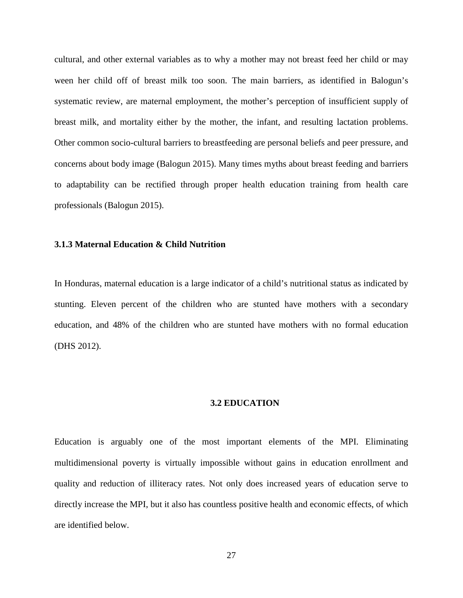cultural, and other external variables as to why a mother may not breast feed her child or may ween her child off of breast milk too soon. The main barriers, as identified in Balogun's systematic review, are maternal employment, the mother's perception of insufficient supply of breast milk, and mortality either by the mother, the infant, and resulting lactation problems. Other common socio-cultural barriers to breastfeeding are personal beliefs and peer pressure, and concerns about body image (Balogun 2015). Many times myths about breast feeding and barriers to adaptability can be rectified through proper health education training from health care professionals (Balogun 2015).

## **3.1.3 Maternal Education & Child Nutrition**

In Honduras, maternal education is a large indicator of a child's nutritional status as indicated by stunting. Eleven percent of the children who are stunted have mothers with a secondary education, and 48% of the children who are stunted have mothers with no formal education (DHS 2012).

## **3.2 EDUCATION**

Education is arguably one of the most important elements of the MPI. Eliminating multidimensional poverty is virtually impossible without gains in education enrollment and quality and reduction of illiteracy rates. Not only does increased years of education serve to directly increase the MPI, but it also has countless positive health and economic effects, of which are identified below.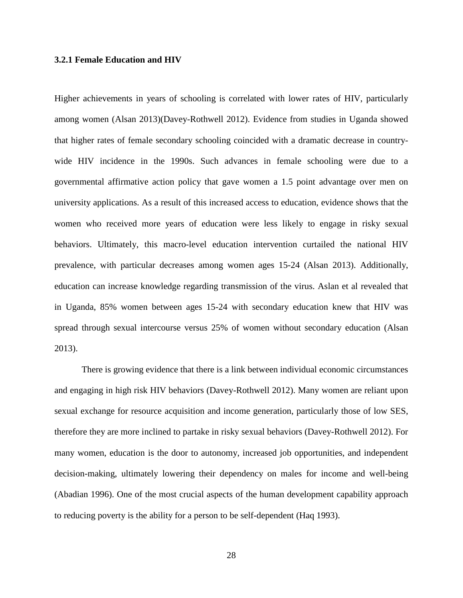## **3.2.1 Female Education and HIV**

Higher achievements in years of schooling is correlated with lower rates of HIV, particularly among women (Alsan 2013)(Davey-Rothwell 2012). Evidence from studies in Uganda showed that higher rates of female secondary schooling coincided with a dramatic decrease in countrywide HIV incidence in the 1990s. Such advances in female schooling were due to a governmental affirmative action policy that gave women a 1.5 point advantage over men on university applications. As a result of this increased access to education, evidence shows that the women who received more years of education were less likely to engage in risky sexual behaviors. Ultimately, this macro-level education intervention curtailed the national HIV prevalence, with particular decreases among women ages 15-24 (Alsan 2013). Additionally, education can increase knowledge regarding transmission of the virus. Aslan et al revealed that in Uganda, 85% women between ages 15-24 with secondary education knew that HIV was spread through sexual intercourse versus 25% of women without secondary education (Alsan 2013).

There is growing evidence that there is a link between individual economic circumstances and engaging in high risk HIV behaviors (Davey-Rothwell 2012). Many women are reliant upon sexual exchange for resource acquisition and income generation, particularly those of low SES, therefore they are more inclined to partake in risky sexual behaviors (Davey-Rothwell 2012). For many women, education is the door to autonomy, increased job opportunities, and independent decision-making, ultimately lowering their dependency on males for income and well-being (Abadian 1996). One of the most crucial aspects of the human development capability approach to reducing poverty is the ability for a person to be self-dependent (Haq 1993).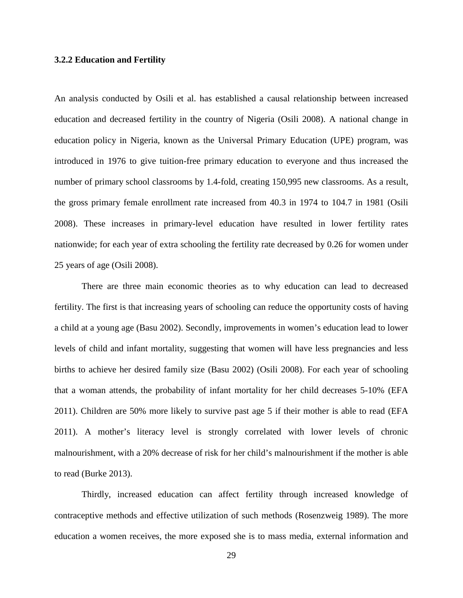## **3.2.2 Education and Fertility**

An analysis conducted by Osili et al. has established a causal relationship between increased education and decreased fertility in the country of Nigeria (Osili 2008). A national change in education policy in Nigeria, known as the Universal Primary Education (UPE) program, was introduced in 1976 to give tuition-free primary education to everyone and thus increased the number of primary school classrooms by 1.4-fold, creating 150,995 new classrooms. As a result, the gross primary female enrollment rate increased from 40.3 in 1974 to 104.7 in 1981 (Osili 2008). These increases in primary-level education have resulted in lower fertility rates nationwide; for each year of extra schooling the fertility rate decreased by 0.26 for women under 25 years of age (Osili 2008).

There are three main economic theories as to why education can lead to decreased fertility. The first is that increasing years of schooling can reduce the opportunity costs of having a child at a young age (Basu 2002). Secondly, improvements in women's education lead to lower levels of child and infant mortality, suggesting that women will have less pregnancies and less births to achieve her desired family size (Basu 2002) (Osili 2008). For each year of schooling that a woman attends, the probability of infant mortality for her child decreases 5-10% (EFA 2011). Children are 50% more likely to survive past age 5 if their mother is able to read (EFA 2011). A mother's literacy level is strongly correlated with lower levels of chronic malnourishment, with a 20% decrease of risk for her child's malnourishment if the mother is able to read (Burke 2013).

Thirdly, increased education can affect fertility through increased knowledge of contraceptive methods and effective utilization of such methods (Rosenzweig 1989). The more education a women receives, the more exposed she is to mass media, external information and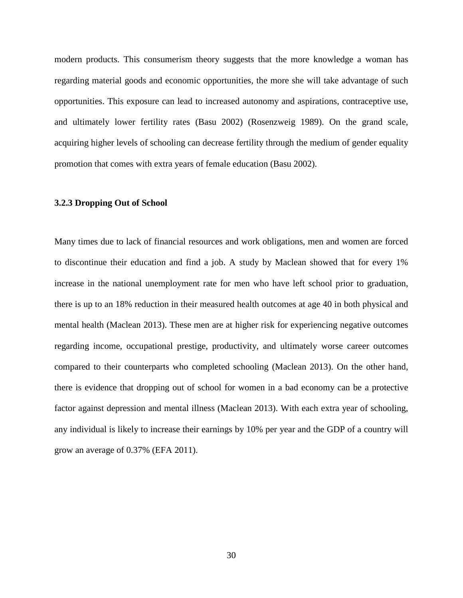modern products. This consumerism theory suggests that the more knowledge a woman has regarding material goods and economic opportunities, the more she will take advantage of such opportunities. This exposure can lead to increased autonomy and aspirations, contraceptive use, and ultimately lower fertility rates (Basu 2002) (Rosenzweig 1989). On the grand scale, acquiring higher levels of schooling can decrease fertility through the medium of gender equality promotion that comes with extra years of female education (Basu 2002).

## **3.2.3 Dropping Out of School**

Many times due to lack of financial resources and work obligations, men and women are forced to discontinue their education and find a job. A study by Maclean showed that for every 1% increase in the national unemployment rate for men who have left school prior to graduation, there is up to an 18% reduction in their measured health outcomes at age 40 in both physical and mental health (Maclean 2013). These men are at higher risk for experiencing negative outcomes regarding income, occupational prestige, productivity, and ultimately worse career outcomes compared to their counterparts who completed schooling (Maclean 2013). On the other hand, there is evidence that dropping out of school for women in a bad economy can be a protective factor against depression and mental illness (Maclean 2013). With each extra year of schooling, any individual is likely to increase their earnings by 10% per year and the GDP of a country will grow an average of 0.37% (EFA 2011).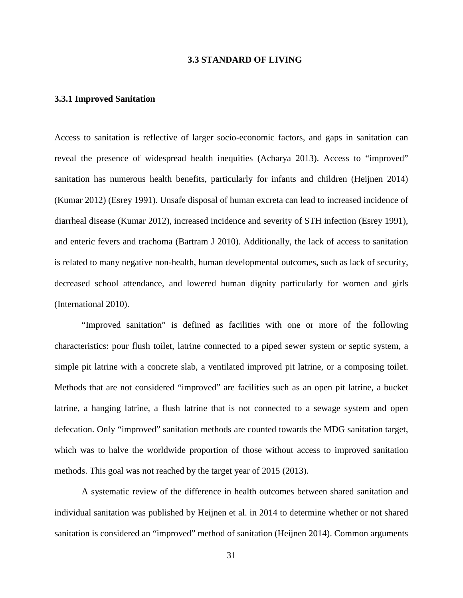## **3.3 STANDARD OF LIVING**

## **3.3.1 Improved Sanitation**

Access to sanitation is reflective of larger socio-economic factors, and gaps in sanitation can reveal the presence of widespread health inequities (Acharya 2013). Access to "improved" sanitation has numerous health benefits, particularly for infants and children (Heijnen 2014) (Kumar 2012) (Esrey 1991). Unsafe disposal of human excreta can lead to increased incidence of diarrheal disease (Kumar 2012), increased incidence and severity of STH infection (Esrey 1991), and enteric fevers and trachoma (Bartram J 2010). Additionally, the lack of access to sanitation is related to many negative non-health, human developmental outcomes, such as lack of security, decreased school attendance, and lowered human dignity particularly for women and girls (International 2010).

"Improved sanitation" is defined as facilities with one or more of the following characteristics: pour flush toilet, latrine connected to a piped sewer system or septic system, a simple pit latrine with a concrete slab, a ventilated improved pit latrine, or a composing toilet. Methods that are not considered "improved" are facilities such as an open pit latrine, a bucket latrine, a hanging latrine, a flush latrine that is not connected to a sewage system and open defecation. Only "improved" sanitation methods are counted towards the MDG sanitation target, which was to halve the worldwide proportion of those without access to improved sanitation methods. This goal was not reached by the target year of 2015 (2013).

A systematic review of the difference in health outcomes between shared sanitation and individual sanitation was published by Heijnen et al. in 2014 to determine whether or not shared sanitation is considered an "improved" method of sanitation (Heijnen 2014). Common arguments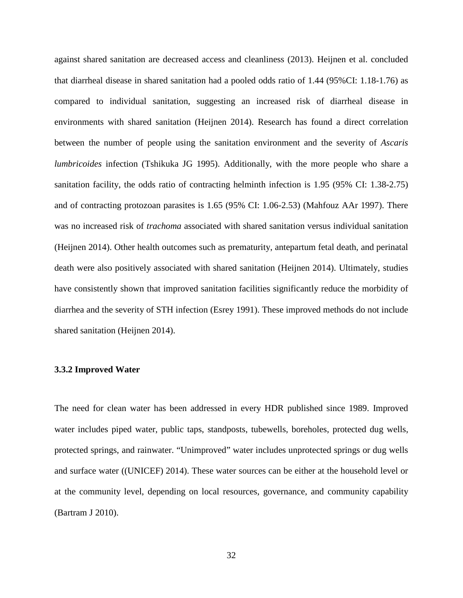against shared sanitation are decreased access and cleanliness (2013). Heijnen et al. concluded that diarrheal disease in shared sanitation had a pooled odds ratio of 1.44 (95%CI: 1.18-1.76) as compared to individual sanitation, suggesting an increased risk of diarrheal disease in environments with shared sanitation (Heijnen 2014). Research has found a direct correlation between the number of people using the sanitation environment and the severity of *Ascaris lumbricoides* infection (Tshikuka JG 1995). Additionally, with the more people who share a sanitation facility, the odds ratio of contracting helminth infection is 1.95 (95% CI: 1.38-2.75) and of contracting protozoan parasites is 1.65 (95% CI: 1.06-2.53) (Mahfouz AAr 1997). There was no increased risk of *trachoma* associated with shared sanitation versus individual sanitation (Heijnen 2014). Other health outcomes such as prematurity, antepartum fetal death, and perinatal death were also positively associated with shared sanitation (Heijnen 2014). Ultimately, studies have consistently shown that improved sanitation facilities significantly reduce the morbidity of diarrhea and the severity of STH infection (Esrey 1991). These improved methods do not include shared sanitation (Heijnen 2014).

## **3.3.2 Improved Water**

The need for clean water has been addressed in every HDR published since 1989. Improved water includes piped water, public taps, standposts, tubewells, boreholes, protected dug wells, protected springs, and rainwater. "Unimproved" water includes unprotected springs or dug wells and surface water ((UNICEF) 2014). These water sources can be either at the household level or at the community level, depending on local resources, governance, and community capability (Bartram J 2010).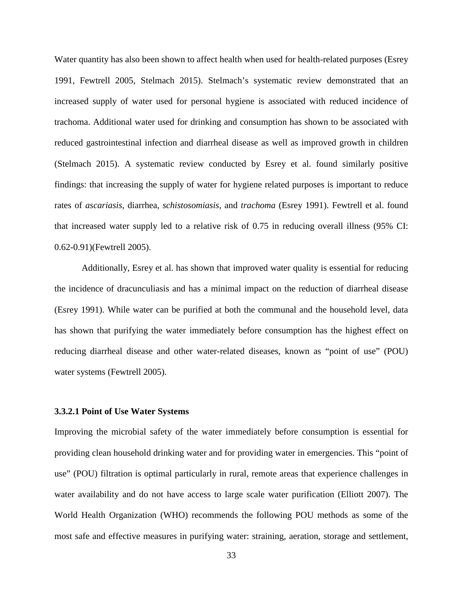Water quantity has also been shown to affect health when used for health-related purposes (Esrey 1991, Fewtrell 2005, Stelmach 2015). Stelmach's systematic review demonstrated that an increased supply of water used for personal hygiene is associated with reduced incidence of trachoma. Additional water used for drinking and consumption has shown to be associated with reduced gastrointestinal infection and diarrheal disease as well as improved growth in children (Stelmach 2015). A systematic review conducted by Esrey et al. found similarly positive findings: that increasing the supply of water for hygiene related purposes is important to reduce rates of *ascariasis*, diarrhea, *schistosomiasis,* and *trachoma* (Esrey 1991). Fewtrell et al. found that increased water supply led to a relative risk of 0.75 in reducing overall illness (95% CI: 0.62-0.91)(Fewtrell 2005).

Additionally, Esrey et al. has shown that improved water quality is essential for reducing the incidence of dracunculiasis and has a minimal impact on the reduction of diarrheal disease (Esrey 1991). While water can be purified at both the communal and the household level, data has shown that purifying the water immediately before consumption has the highest effect on reducing diarrheal disease and other water-related diseases, known as "point of use" (POU) water systems (Fewtrell 2005).

## **3.3.2.1 Point of Use Water Systems**

Improving the microbial safety of the water immediately before consumption is essential for providing clean household drinking water and for providing water in emergencies. This "point of use" (POU) filtration is optimal particularly in rural, remote areas that experience challenges in water availability and do not have access to large scale water purification (Elliott 2007). The World Health Organization (WHO) recommends the following POU methods as some of the most safe and effective measures in purifying water: straining, aeration, storage and settlement,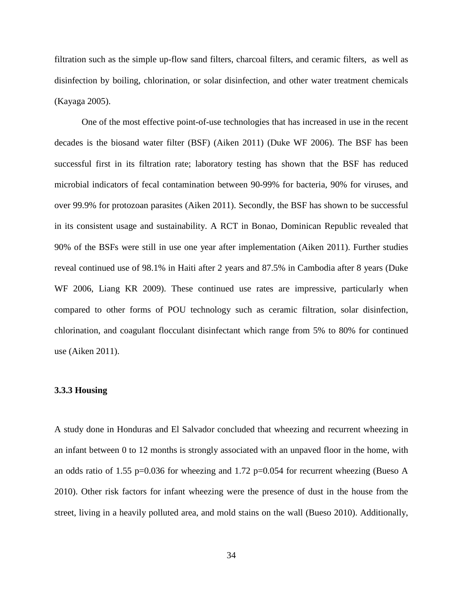filtration such as the simple up-flow sand filters, charcoal filters, and ceramic filters, as well as disinfection by boiling, chlorination, or solar disinfection, and other water treatment chemicals (Kayaga 2005).

One of the most effective point-of-use technologies that has increased in use in the recent decades is the biosand water filter (BSF) (Aiken 2011) (Duke WF 2006). The BSF has been successful first in its filtration rate; laboratory testing has shown that the BSF has reduced microbial indicators of fecal contamination between 90-99% for bacteria, 90% for viruses, and over 99.9% for protozoan parasites (Aiken 2011). Secondly, the BSF has shown to be successful in its consistent usage and sustainability. A RCT in Bonao, Dominican Republic revealed that 90% of the BSFs were still in use one year after implementation (Aiken 2011). Further studies reveal continued use of 98.1% in Haiti after 2 years and 87.5% in Cambodia after 8 years (Duke WF 2006, Liang KR 2009). These continued use rates are impressive, particularly when compared to other forms of POU technology such as ceramic filtration, solar disinfection, chlorination, and coagulant flocculant disinfectant which range from 5% to 80% for continued use (Aiken 2011).

## **3.3.3 Housing**

A study done in Honduras and El Salvador concluded that wheezing and recurrent wheezing in an infant between 0 to 12 months is strongly associated with an unpaved floor in the home, with an odds ratio of 1.55 p=0.036 for wheezing and 1.72 p=0.054 for recurrent wheezing (Bueso A 2010). Other risk factors for infant wheezing were the presence of dust in the house from the street, living in a heavily polluted area, and mold stains on the wall (Bueso 2010). Additionally,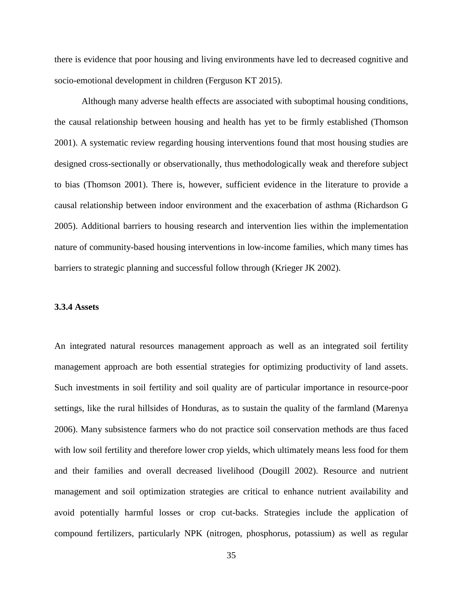there is evidence that poor housing and living environments have led to decreased cognitive and socio-emotional development in children (Ferguson KT 2015).

Although many adverse health effects are associated with suboptimal housing conditions, the causal relationship between housing and health has yet to be firmly established (Thomson 2001). A systematic review regarding housing interventions found that most housing studies are designed cross-sectionally or observationally, thus methodologically weak and therefore subject to bias (Thomson 2001). There is, however, sufficient evidence in the literature to provide a causal relationship between indoor environment and the exacerbation of asthma (Richardson G 2005). Additional barriers to housing research and intervention lies within the implementation nature of community-based housing interventions in low-income families, which many times has barriers to strategic planning and successful follow through (Krieger JK 2002).

## **3.3.4 Assets**

An integrated natural resources management approach as well as an integrated soil fertility management approach are both essential strategies for optimizing productivity of land assets. Such investments in soil fertility and soil quality are of particular importance in resource-poor settings, like the rural hillsides of Honduras, as to sustain the quality of the farmland (Marenya 2006). Many subsistence farmers who do not practice soil conservation methods are thus faced with low soil fertility and therefore lower crop yields, which ultimately means less food for them and their families and overall decreased livelihood (Dougill 2002). Resource and nutrient management and soil optimization strategies are critical to enhance nutrient availability and avoid potentially harmful losses or crop cut-backs. Strategies include the application of compound fertilizers, particularly NPK (nitrogen, phosphorus, potassium) as well as regular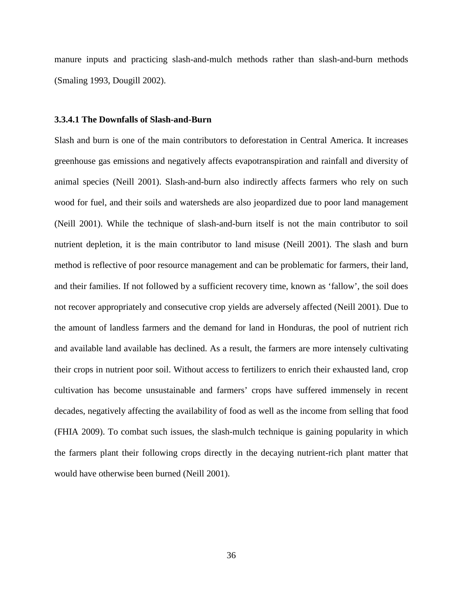manure inputs and practicing slash-and-mulch methods rather than slash-and-burn methods (Smaling 1993, Dougill 2002).

#### **3.3.4.1 The Downfalls of Slash-and-Burn**

Slash and burn is one of the main contributors to deforestation in Central America. It increases greenhouse gas emissions and negatively affects evapotranspiration and rainfall and diversity of animal species (Neill 2001). Slash-and-burn also indirectly affects farmers who rely on such wood for fuel, and their soils and watersheds are also jeopardized due to poor land management (Neill 2001). While the technique of slash-and-burn itself is not the main contributor to soil nutrient depletion, it is the main contributor to land misuse (Neill 2001). The slash and burn method is reflective of poor resource management and can be problematic for farmers, their land, and their families. If not followed by a sufficient recovery time, known as 'fallow', the soil does not recover appropriately and consecutive crop yields are adversely affected (Neill 2001). Due to the amount of landless farmers and the demand for land in Honduras, the pool of nutrient rich and available land available has declined. As a result, the farmers are more intensely cultivating their crops in nutrient poor soil. Without access to fertilizers to enrich their exhausted land, crop cultivation has become unsustainable and farmers' crops have suffered immensely in recent decades, negatively affecting the availability of food as well as the income from selling that food (FHIA 2009). To combat such issues, the slash-mulch technique is gaining popularity in which the farmers plant their following crops directly in the decaying nutrient-rich plant matter that would have otherwise been burned (Neill 2001).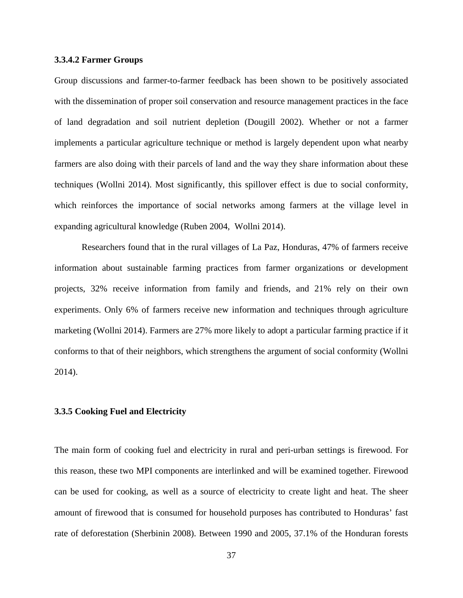## **3.3.4.2 Farmer Groups**

Group discussions and farmer-to-farmer feedback has been shown to be positively associated with the dissemination of proper soil conservation and resource management practices in the face of land degradation and soil nutrient depletion (Dougill 2002). Whether or not a farmer implements a particular agriculture technique or method is largely dependent upon what nearby farmers are also doing with their parcels of land and the way they share information about these techniques (Wollni 2014). Most significantly, this spillover effect is due to social conformity, which reinforces the importance of social networks among farmers at the village level in expanding agricultural knowledge (Ruben 2004, Wollni 2014).

Researchers found that in the rural villages of La Paz, Honduras, 47% of farmers receive information about sustainable farming practices from farmer organizations or development projects, 32% receive information from family and friends, and 21% rely on their own experiments. Only 6% of farmers receive new information and techniques through agriculture marketing (Wollni 2014). Farmers are 27% more likely to adopt a particular farming practice if it conforms to that of their neighbors, which strengthens the argument of social conformity (Wollni 2014).

### **3.3.5 Cooking Fuel and Electricity**

The main form of cooking fuel and electricity in rural and peri-urban settings is firewood. For this reason, these two MPI components are interlinked and will be examined together. Firewood can be used for cooking, as well as a source of electricity to create light and heat. The sheer amount of firewood that is consumed for household purposes has contributed to Honduras' fast rate of deforestation (Sherbinin 2008). Between 1990 and 2005, 37.1% of the Honduran forests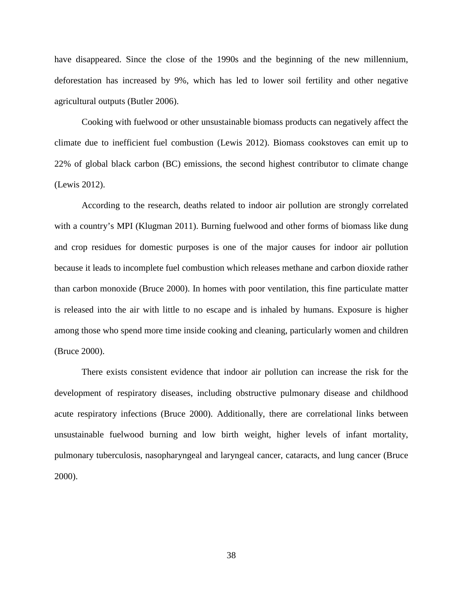have disappeared. Since the close of the 1990s and the beginning of the new millennium, deforestation has increased by 9%, which has led to lower soil fertility and other negative agricultural outputs (Butler 2006).

Cooking with fuelwood or other unsustainable biomass products can negatively affect the climate due to inefficient fuel combustion (Lewis 2012). Biomass cookstoves can emit up to 22% of global black carbon (BC) emissions, the second highest contributor to climate change (Lewis 2012).

According to the research, deaths related to indoor air pollution are strongly correlated with a country's MPI (Klugman 2011). Burning fuelwood and other forms of biomass like dung and crop residues for domestic purposes is one of the major causes for indoor air pollution because it leads to incomplete fuel combustion which releases methane and carbon dioxide rather than carbon monoxide (Bruce 2000). In homes with poor ventilation, this fine particulate matter is released into the air with little to no escape and is inhaled by humans. Exposure is higher among those who spend more time inside cooking and cleaning, particularly women and children (Bruce 2000).

There exists consistent evidence that indoor air pollution can increase the risk for the development of respiratory diseases, including obstructive pulmonary disease and childhood acute respiratory infections (Bruce 2000). Additionally, there are correlational links between unsustainable fuelwood burning and low birth weight, higher levels of infant mortality, pulmonary tuberculosis, nasopharyngeal and laryngeal cancer, cataracts, and lung cancer (Bruce 2000).

38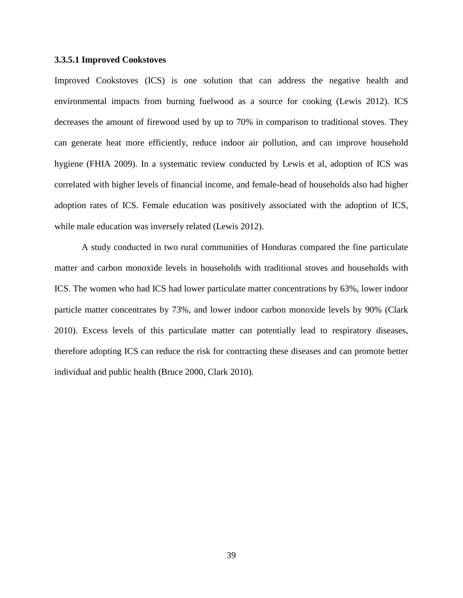## **3.3.5.1 Improved Cookstoves**

Improved Cookstoves (ICS) is one solution that can address the negative health and environmental impacts from burning fuelwood as a source for cooking (Lewis 2012). ICS decreases the amount of firewood used by up to 70% in comparison to traditional stoves. They can generate heat more efficiently, reduce indoor air pollution, and can improve household hygiene (FHIA 2009). In a systematic review conducted by Lewis et al, adoption of ICS was correlated with higher levels of financial income, and female-head of households also had higher adoption rates of ICS. Female education was positively associated with the adoption of ICS, while male education was inversely related (Lewis 2012).

A study conducted in two rural communities of Honduras compared the fine particulate matter and carbon monoxide levels in households with traditional stoves and households with ICS. The women who had ICS had lower particulate matter concentrations by 63%, lower indoor particle matter concentrates by 73%, and lower indoor carbon monoxide levels by 90% (Clark 2010). Excess levels of this particulate matter can potentially lead to respiratory diseases, therefore adopting ICS can reduce the risk for contracting these diseases and can promote better individual and public health (Bruce 2000, Clark 2010).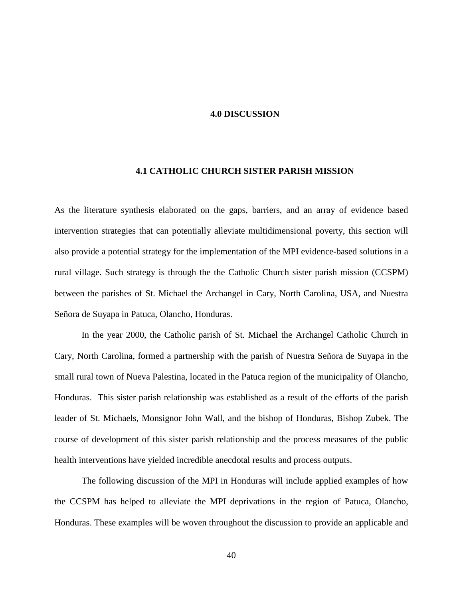## **4.0 DISCUSSION**

## **4.1 CATHOLIC CHURCH SISTER PARISH MISSION**

As the literature synthesis elaborated on the gaps, barriers, and an array of evidence based intervention strategies that can potentially alleviate multidimensional poverty, this section will also provide a potential strategy for the implementation of the MPI evidence-based solutions in a rural village. Such strategy is through the the Catholic Church sister parish mission (CCSPM) between the parishes of St. Michael the Archangel in Cary, North Carolina, USA, and Nuestra Señora de Suyapa in Patuca, Olancho, Honduras.

In the year 2000, the Catholic parish of St. Michael the Archangel Catholic Church in Cary, North Carolina, formed a partnership with the parish of Nuestra Señora de Suyapa in the small rural town of Nueva Palestina, located in the Patuca region of the municipality of Olancho, Honduras. This sister parish relationship was established as a result of the efforts of the parish leader of St. Michaels, Monsignor John Wall, and the bishop of Honduras, Bishop Zubek. The course of development of this sister parish relationship and the process measures of the public health interventions have yielded incredible anecdotal results and process outputs.

The following discussion of the MPI in Honduras will include applied examples of how the CCSPM has helped to alleviate the MPI deprivations in the region of Patuca, Olancho, Honduras. These examples will be woven throughout the discussion to provide an applicable and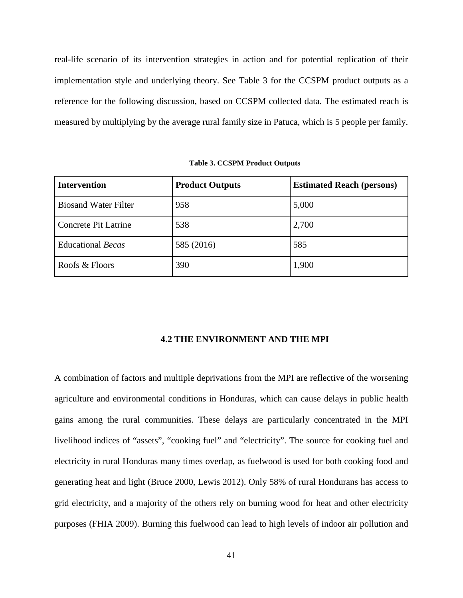real-life scenario of its intervention strategies in action and for potential replication of their implementation style and underlying theory. See Table 3 for the CCSPM product outputs as a reference for the following discussion, based on CCSPM collected data. The estimated reach is measured by multiplying by the average rural family size in Patuca, which is 5 people per family.

**Table 3. CCSPM Product Outputs**

| <b>Intervention</b>         | <b>Product Outputs</b> | <b>Estimated Reach (persons)</b> |
|-----------------------------|------------------------|----------------------------------|
| <b>Biosand Water Filter</b> | 958                    | 5,000                            |
| Concrete Pit Latrine        | 538                    | 2,700                            |
| <b>Educational Becas</b>    | 585 (2016)             | 585                              |
| Roofs & Floors              | 390                    | 1,900                            |

#### **4.2 THE ENVIRONMENT AND THE MPI**

A combination of factors and multiple deprivations from the MPI are reflective of the worsening agriculture and environmental conditions in Honduras, which can cause delays in public health gains among the rural communities. These delays are particularly concentrated in the MPI livelihood indices of "assets", "cooking fuel" and "electricity". The source for cooking fuel and electricity in rural Honduras many times overlap, as fuelwood is used for both cooking food and generating heat and light (Bruce 2000, Lewis 2012). Only 58% of rural Hondurans has access to grid electricity, and a majority of the others rely on burning wood for heat and other electricity purposes (FHIA 2009). Burning this fuelwood can lead to high levels of indoor air pollution and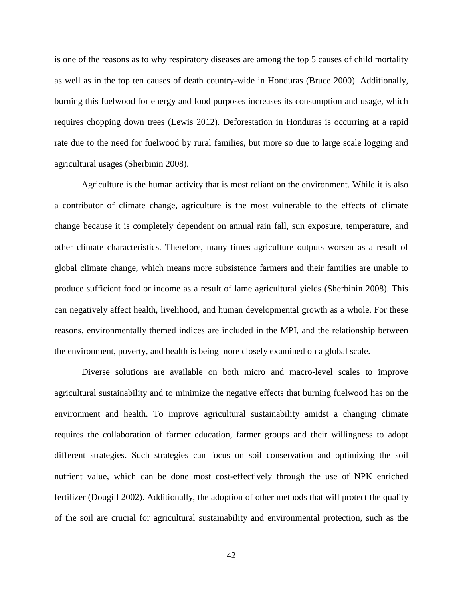is one of the reasons as to why respiratory diseases are among the top 5 causes of child mortality as well as in the top ten causes of death country-wide in Honduras (Bruce 2000). Additionally, burning this fuelwood for energy and food purposes increases its consumption and usage, which requires chopping down trees (Lewis 2012). Deforestation in Honduras is occurring at a rapid rate due to the need for fuelwood by rural families, but more so due to large scale logging and agricultural usages (Sherbinin 2008).

Agriculture is the human activity that is most reliant on the environment. While it is also a contributor of climate change, agriculture is the most vulnerable to the effects of climate change because it is completely dependent on annual rain fall, sun exposure, temperature, and other climate characteristics. Therefore, many times agriculture outputs worsen as a result of global climate change, which means more subsistence farmers and their families are unable to produce sufficient food or income as a result of lame agricultural yields (Sherbinin 2008). This can negatively affect health, livelihood, and human developmental growth as a whole. For these reasons, environmentally themed indices are included in the MPI, and the relationship between the environment, poverty, and health is being more closely examined on a global scale.

Diverse solutions are available on both micro and macro-level scales to improve agricultural sustainability and to minimize the negative effects that burning fuelwood has on the environment and health. To improve agricultural sustainability amidst a changing climate requires the collaboration of farmer education, farmer groups and their willingness to adopt different strategies. Such strategies can focus on soil conservation and optimizing the soil nutrient value, which can be done most cost-effectively through the use of NPK enriched fertilizer (Dougill 2002). Additionally, the adoption of other methods that will protect the quality of the soil are crucial for agricultural sustainability and environmental protection, such as the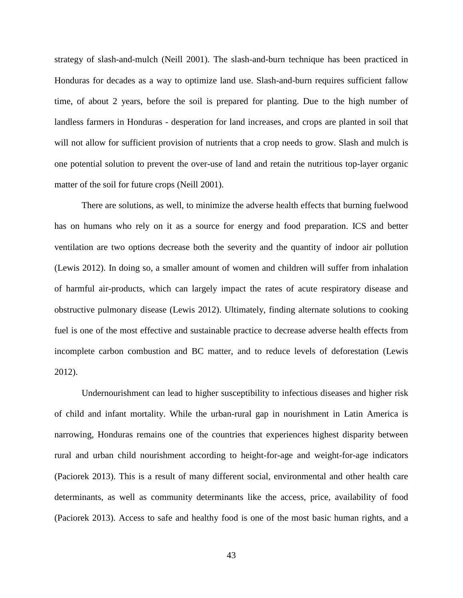strategy of slash-and-mulch (Neill 2001). The slash-and-burn technique has been practiced in Honduras for decades as a way to optimize land use. Slash-and-burn requires sufficient fallow time, of about 2 years, before the soil is prepared for planting. Due to the high number of landless farmers in Honduras - desperation for land increases, and crops are planted in soil that will not allow for sufficient provision of nutrients that a crop needs to grow. Slash and mulch is one potential solution to prevent the over-use of land and retain the nutritious top-layer organic matter of the soil for future crops (Neill 2001).

There are solutions, as well, to minimize the adverse health effects that burning fuelwood has on humans who rely on it as a source for energy and food preparation. ICS and better ventilation are two options decrease both the severity and the quantity of indoor air pollution (Lewis 2012). In doing so, a smaller amount of women and children will suffer from inhalation of harmful air-products, which can largely impact the rates of acute respiratory disease and obstructive pulmonary disease (Lewis 2012). Ultimately, finding alternate solutions to cooking fuel is one of the most effective and sustainable practice to decrease adverse health effects from incomplete carbon combustion and BC matter, and to reduce levels of deforestation (Lewis 2012).

Undernourishment can lead to higher susceptibility to infectious diseases and higher risk of child and infant mortality. While the urban-rural gap in nourishment in Latin America is narrowing, Honduras remains one of the countries that experiences highest disparity between rural and urban child nourishment according to height-for-age and weight-for-age indicators (Paciorek 2013). This is a result of many different social, environmental and other health care determinants, as well as community determinants like the access, price, availability of food (Paciorek 2013). Access to safe and healthy food is one of the most basic human rights, and a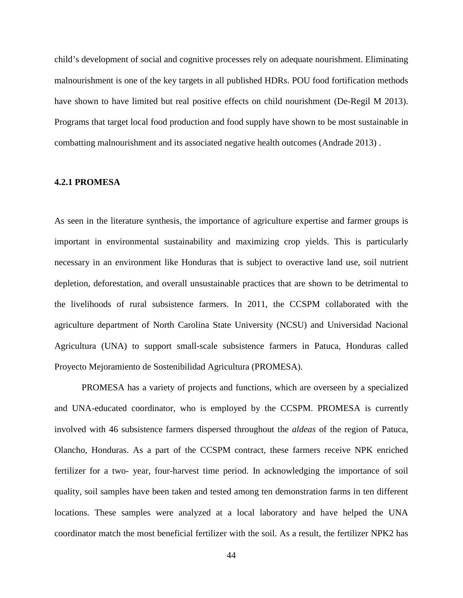child's development of social and cognitive processes rely on adequate nourishment. Eliminating malnourishment is one of the key targets in all published HDRs. POU food fortification methods have shown to have limited but real positive effects on child nourishment (De-Regil M 2013). Programs that target local food production and food supply have shown to be most sustainable in combatting malnourishment and its associated negative health outcomes (Andrade 2013) .

## **4.2.1 PROMESA**

As seen in the literature synthesis, the importance of agriculture expertise and farmer groups is important in environmental sustainability and maximizing crop yields. This is particularly necessary in an environment like Honduras that is subject to overactive land use, soil nutrient depletion, deforestation, and overall unsustainable practices that are shown to be detrimental to the livelihoods of rural subsistence farmers. In 2011, the CCSPM collaborated with the agriculture department of North Carolina State University (NCSU) and Universidad Nacional Agricultura (UNA) to support small-scale subsistence farmers in Patuca, Honduras called Proyecto Mejoramiento de Sostenibilidad Agricultura (PROMESA).

PROMESA has a variety of projects and functions, which are overseen by a specialized and UNA-educated coordinator, who is employed by the CCSPM. PROMESA is currently involved with 46 subsistence farmers dispersed throughout the *aldeas* of the region of Patuca, Olancho, Honduras. As a part of the CCSPM contract, these farmers receive NPK enriched fertilizer for a two- year, four-harvest time period. In acknowledging the importance of soil quality, soil samples have been taken and tested among ten demonstration farms in ten different locations. These samples were analyzed at a local laboratory and have helped the UNA coordinator match the most beneficial fertilizer with the soil. As a result, the fertilizer NPK2 has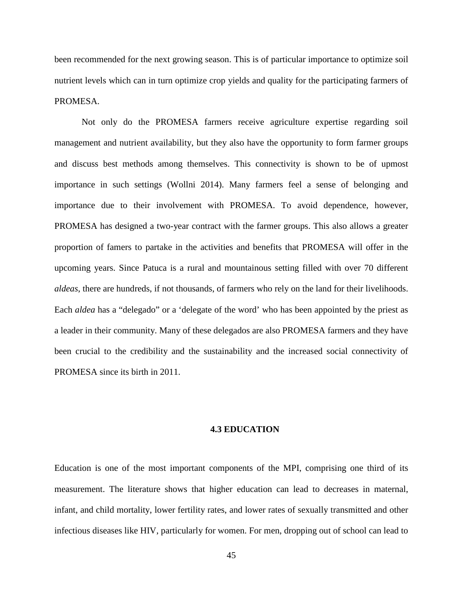been recommended for the next growing season. This is of particular importance to optimize soil nutrient levels which can in turn optimize crop yields and quality for the participating farmers of PROMESA.

Not only do the PROMESA farmers receive agriculture expertise regarding soil management and nutrient availability, but they also have the opportunity to form farmer groups and discuss best methods among themselves. This connectivity is shown to be of upmost importance in such settings (Wollni 2014). Many farmers feel a sense of belonging and importance due to their involvement with PROMESA. To avoid dependence, however, PROMESA has designed a two-year contract with the farmer groups. This also allows a greater proportion of famers to partake in the activities and benefits that PROMESA will offer in the upcoming years. Since Patuca is a rural and mountainous setting filled with over 70 different *aldeas*, there are hundreds, if not thousands, of farmers who rely on the land for their livelihoods. Each *aldea* has a "delegado" or a 'delegate of the word' who has been appointed by the priest as a leader in their community. Many of these delegados are also PROMESA farmers and they have been crucial to the credibility and the sustainability and the increased social connectivity of PROMESA since its birth in 2011.

## **4.3 EDUCATION**

Education is one of the most important components of the MPI, comprising one third of its measurement. The literature shows that higher education can lead to decreases in maternal, infant, and child mortality, lower fertility rates, and lower rates of sexually transmitted and other infectious diseases like HIV, particularly for women. For men, dropping out of school can lead to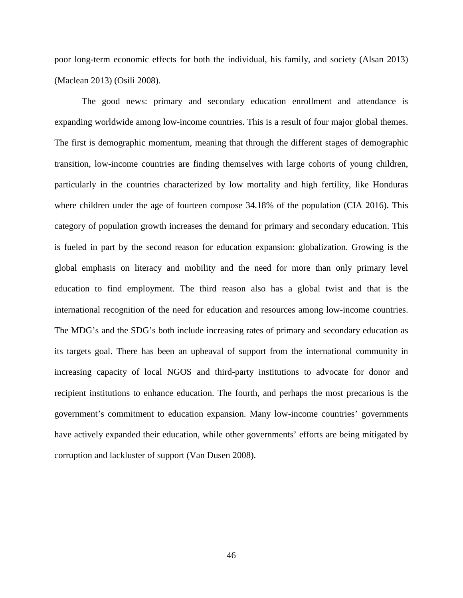poor long-term economic effects for both the individual, his family, and society (Alsan 2013) (Maclean 2013) (Osili 2008).

The good news: primary and secondary education enrollment and attendance is expanding worldwide among low-income countries. This is a result of four major global themes. The first is demographic momentum, meaning that through the different stages of demographic transition, low-income countries are finding themselves with large cohorts of young children, particularly in the countries characterized by low mortality and high fertility, like Honduras where children under the age of fourteen compose 34.18% of the population (CIA 2016). This category of population growth increases the demand for primary and secondary education. This is fueled in part by the second reason for education expansion: globalization. Growing is the global emphasis on literacy and mobility and the need for more than only primary level education to find employment. The third reason also has a global twist and that is the international recognition of the need for education and resources among low-income countries. The MDG's and the SDG's both include increasing rates of primary and secondary education as its targets goal. There has been an upheaval of support from the international community in increasing capacity of local NGOS and third-party institutions to advocate for donor and recipient institutions to enhance education. The fourth, and perhaps the most precarious is the government's commitment to education expansion. Many low-income countries' governments have actively expanded their education, while other governments' efforts are being mitigated by corruption and lackluster of support (Van Dusen 2008).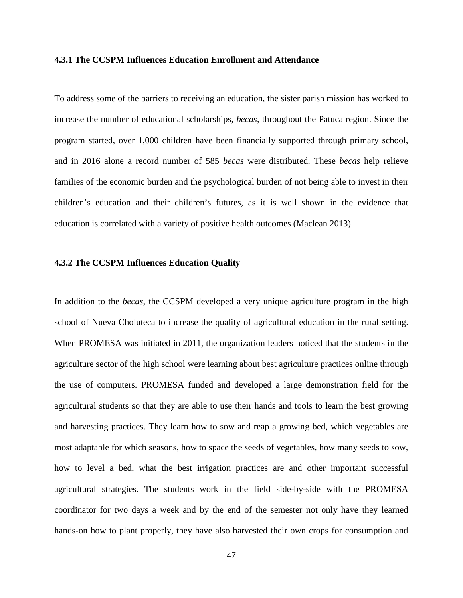### **4.3.1 The CCSPM Influences Education Enrollment and Attendance**

To address some of the barriers to receiving an education, the sister parish mission has worked to increase the number of educational scholarships, *becas*, throughout the Patuca region. Since the program started, over 1,000 children have been financially supported through primary school, and in 2016 alone a record number of 585 *becas* were distributed. These *becas* help relieve families of the economic burden and the psychological burden of not being able to invest in their children's education and their children's futures, as it is well shown in the evidence that education is correlated with a variety of positive health outcomes (Maclean 2013).

## **4.3.2 The CCSPM Influences Education Quality**

In addition to the *becas*, the CCSPM developed a very unique agriculture program in the high school of Nueva Choluteca to increase the quality of agricultural education in the rural setting. When PROMESA was initiated in 2011, the organization leaders noticed that the students in the agriculture sector of the high school were learning about best agriculture practices online through the use of computers. PROMESA funded and developed a large demonstration field for the agricultural students so that they are able to use their hands and tools to learn the best growing and harvesting practices. They learn how to sow and reap a growing bed, which vegetables are most adaptable for which seasons, how to space the seeds of vegetables, how many seeds to sow, how to level a bed, what the best irrigation practices are and other important successful agricultural strategies. The students work in the field side-by-side with the PROMESA coordinator for two days a week and by the end of the semester not only have they learned hands-on how to plant properly, they have also harvested their own crops for consumption and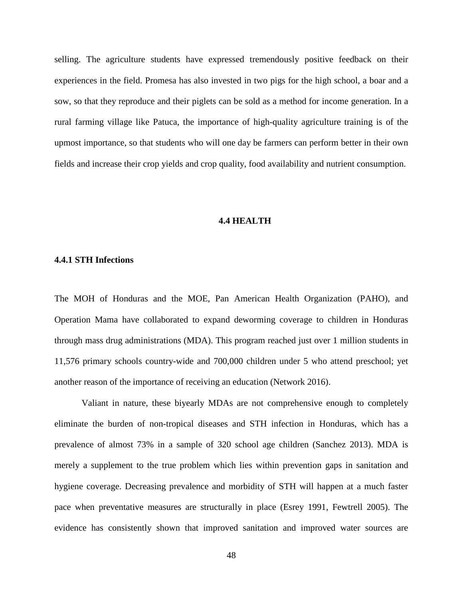selling. The agriculture students have expressed tremendously positive feedback on their experiences in the field. Promesa has also invested in two pigs for the high school, a boar and a sow, so that they reproduce and their piglets can be sold as a method for income generation. In a rural farming village like Patuca, the importance of high-quality agriculture training is of the upmost importance, so that students who will one day be farmers can perform better in their own fields and increase their crop yields and crop quality, food availability and nutrient consumption.

# **4.4 HEALTH**

#### **4.4.1 STH Infections**

The MOH of Honduras and the MOE, Pan American Health Organization (PAHO), and Operation Mama have collaborated to expand deworming coverage to children in Honduras through mass drug administrations (MDA). This program reached just over 1 million students in 11,576 primary schools country-wide and 700,000 children under 5 who attend preschool; yet another reason of the importance of receiving an education (Network 2016).

Valiant in nature, these biyearly MDAs are not comprehensive enough to completely eliminate the burden of non-tropical diseases and STH infection in Honduras, which has a prevalence of almost 73% in a sample of 320 school age children (Sanchez 2013). MDA is merely a supplement to the true problem which lies within prevention gaps in sanitation and hygiene coverage. Decreasing prevalence and morbidity of STH will happen at a much faster pace when preventative measures are structurally in place (Esrey 1991, Fewtrell 2005). The evidence has consistently shown that improved sanitation and improved water sources are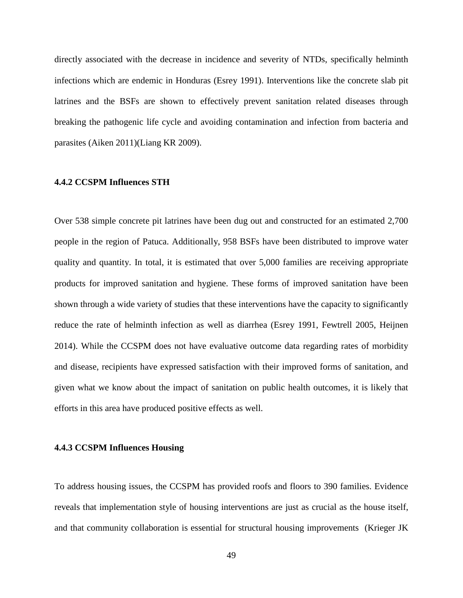directly associated with the decrease in incidence and severity of NTDs, specifically helminth infections which are endemic in Honduras (Esrey 1991). Interventions like the concrete slab pit latrines and the BSFs are shown to effectively prevent sanitation related diseases through breaking the pathogenic life cycle and avoiding contamination and infection from bacteria and parasites (Aiken 2011)(Liang KR 2009).

## **4.4.2 CCSPM Influences STH**

Over 538 simple concrete pit latrines have been dug out and constructed for an estimated 2,700 people in the region of Patuca. Additionally, 958 BSFs have been distributed to improve water quality and quantity. In total, it is estimated that over 5,000 families are receiving appropriate products for improved sanitation and hygiene. These forms of improved sanitation have been shown through a wide variety of studies that these interventions have the capacity to significantly reduce the rate of helminth infection as well as diarrhea (Esrey 1991, Fewtrell 2005, Heijnen 2014). While the CCSPM does not have evaluative outcome data regarding rates of morbidity and disease, recipients have expressed satisfaction with their improved forms of sanitation, and given what we know about the impact of sanitation on public health outcomes, it is likely that efforts in this area have produced positive effects as well.

## **4.4.3 CCSPM Influences Housing**

To address housing issues, the CCSPM has provided roofs and floors to 390 families. Evidence reveals that implementation style of housing interventions are just as crucial as the house itself, and that community collaboration is essential for structural housing improvements (Krieger JK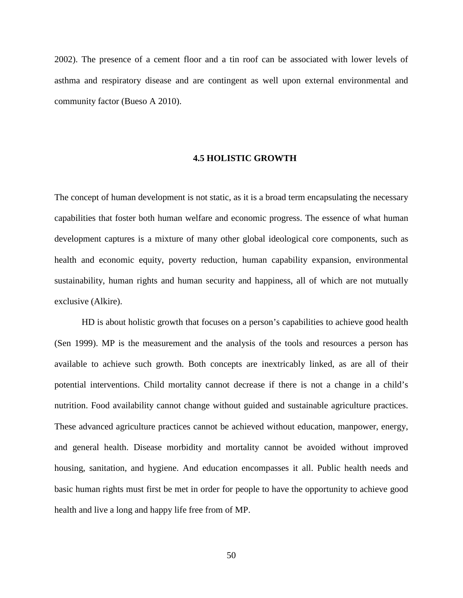2002). The presence of a cement floor and a tin roof can be associated with lower levels of asthma and respiratory disease and are contingent as well upon external environmental and community factor (Bueso A 2010).

#### **4.5 HOLISTIC GROWTH**

The concept of human development is not static, as it is a broad term encapsulating the necessary capabilities that foster both human welfare and economic progress. The essence of what human development captures is a mixture of many other global ideological core components, such as health and economic equity, poverty reduction, human capability expansion, environmental sustainability, human rights and human security and happiness, all of which are not mutually exclusive (Alkire).

HD is about holistic growth that focuses on a person's capabilities to achieve good health (Sen 1999). MP is the measurement and the analysis of the tools and resources a person has available to achieve such growth. Both concepts are inextricably linked, as are all of their potential interventions. Child mortality cannot decrease if there is not a change in a child's nutrition. Food availability cannot change without guided and sustainable agriculture practices. These advanced agriculture practices cannot be achieved without education, manpower, energy, and general health. Disease morbidity and mortality cannot be avoided without improved housing, sanitation, and hygiene. And education encompasses it all. Public health needs and basic human rights must first be met in order for people to have the opportunity to achieve good health and live a long and happy life free from of MP.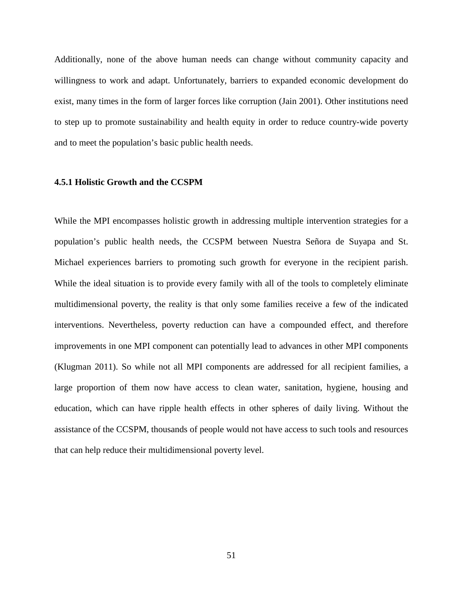Additionally, none of the above human needs can change without community capacity and willingness to work and adapt. Unfortunately, barriers to expanded economic development do exist, many times in the form of larger forces like corruption (Jain 2001). Other institutions need to step up to promote sustainability and health equity in order to reduce country-wide poverty and to meet the population's basic public health needs.

## **4.5.1 Holistic Growth and the CCSPM**

While the MPI encompasses holistic growth in addressing multiple intervention strategies for a population's public health needs, the CCSPM between Nuestra Señora de Suyapa and St. Michael experiences barriers to promoting such growth for everyone in the recipient parish. While the ideal situation is to provide every family with all of the tools to completely eliminate multidimensional poverty, the reality is that only some families receive a few of the indicated interventions. Nevertheless, poverty reduction can have a compounded effect, and therefore improvements in one MPI component can potentially lead to advances in other MPI components (Klugman 2011). So while not all MPI components are addressed for all recipient families, a large proportion of them now have access to clean water, sanitation, hygiene, housing and education, which can have ripple health effects in other spheres of daily living. Without the assistance of the CCSPM, thousands of people would not have access to such tools and resources that can help reduce their multidimensional poverty level.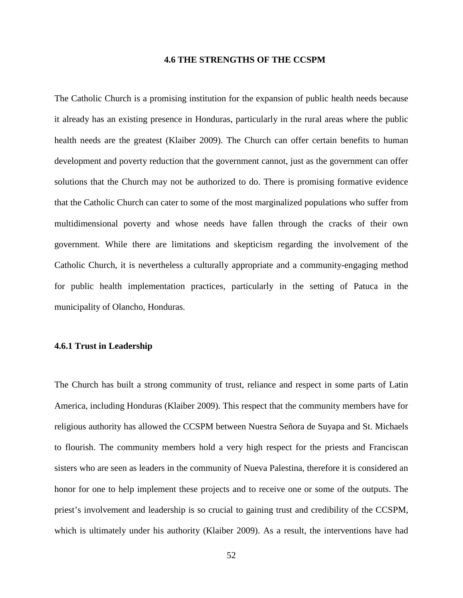### **4.6 THE STRENGTHS OF THE CCSPM**

The Catholic Church is a promising institution for the expansion of public health needs because it already has an existing presence in Honduras, particularly in the rural areas where the public health needs are the greatest (Klaiber 2009). The Church can offer certain benefits to human development and poverty reduction that the government cannot, just as the government can offer solutions that the Church may not be authorized to do. There is promising formative evidence that the Catholic Church can cater to some of the most marginalized populations who suffer from multidimensional poverty and whose needs have fallen through the cracks of their own government. While there are limitations and skepticism regarding the involvement of the Catholic Church, it is nevertheless a culturally appropriate and a community-engaging method for public health implementation practices, particularly in the setting of Patuca in the municipality of Olancho, Honduras.

## **4.6.1 Trust in Leadership**

The Church has built a strong community of trust, reliance and respect in some parts of Latin America, including Honduras (Klaiber 2009). This respect that the community members have for religious authority has allowed the CCSPM between Nuestra Señora de Suyapa and St. Michaels to flourish. The community members hold a very high respect for the priests and Franciscan sisters who are seen as leaders in the community of Nueva Palestina, therefore it is considered an honor for one to help implement these projects and to receive one or some of the outputs. The priest's involvement and leadership is so crucial to gaining trust and credibility of the CCSPM, which is ultimately under his authority (Klaiber 2009). As a result, the interventions have had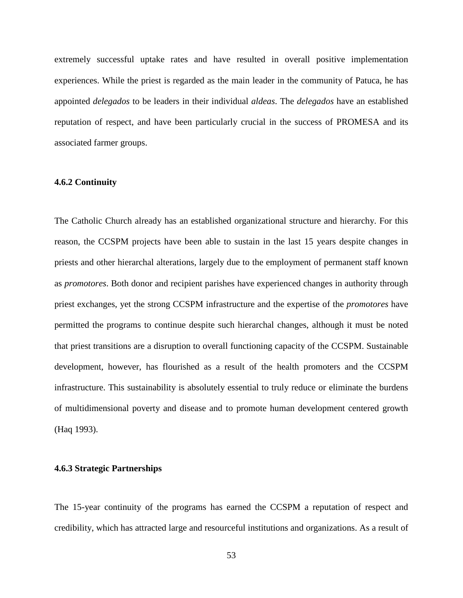extremely successful uptake rates and have resulted in overall positive implementation experiences. While the priest is regarded as the main leader in the community of Patuca, he has appointed *delegados* to be leaders in their individual *aldeas*. The *delegados* have an established reputation of respect, and have been particularly crucial in the success of PROMESA and its associated farmer groups.

## **4.6.2 Continuity**

The Catholic Church already has an established organizational structure and hierarchy. For this reason, the CCSPM projects have been able to sustain in the last 15 years despite changes in priests and other hierarchal alterations, largely due to the employment of permanent staff known as *promotores*. Both donor and recipient parishes have experienced changes in authority through priest exchanges, yet the strong CCSPM infrastructure and the expertise of the *promotores* have permitted the programs to continue despite such hierarchal changes, although it must be noted that priest transitions are a disruption to overall functioning capacity of the CCSPM. Sustainable development, however, has flourished as a result of the health promoters and the CCSPM infrastructure. This sustainability is absolutely essential to truly reduce or eliminate the burdens of multidimensional poverty and disease and to promote human development centered growth (Haq 1993).

### **4.6.3 Strategic Partnerships**

The 15-year continuity of the programs has earned the CCSPM a reputation of respect and credibility, which has attracted large and resourceful institutions and organizations. As a result of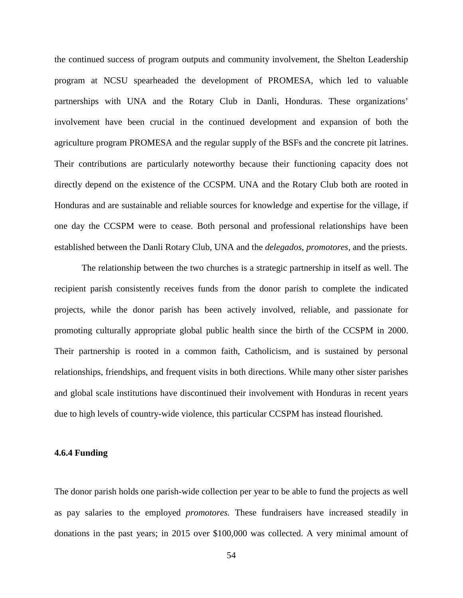the continued success of program outputs and community involvement, the Shelton Leadership program at NCSU spearheaded the development of PROMESA, which led to valuable partnerships with UNA and the Rotary Club in Danli, Honduras. These organizations' involvement have been crucial in the continued development and expansion of both the agriculture program PROMESA and the regular supply of the BSFs and the concrete pit latrines. Their contributions are particularly noteworthy because their functioning capacity does not directly depend on the existence of the CCSPM. UNA and the Rotary Club both are rooted in Honduras and are sustainable and reliable sources for knowledge and expertise for the village, if one day the CCSPM were to cease. Both personal and professional relationships have been established between the Danli Rotary Club, UNA and the *delegados*, *promotores*, and the priests.

The relationship between the two churches is a strategic partnership in itself as well. The recipient parish consistently receives funds from the donor parish to complete the indicated projects, while the donor parish has been actively involved, reliable, and passionate for promoting culturally appropriate global public health since the birth of the CCSPM in 2000. Their partnership is rooted in a common faith, Catholicism, and is sustained by personal relationships, friendships, and frequent visits in both directions. While many other sister parishes and global scale institutions have discontinued their involvement with Honduras in recent years due to high levels of country-wide violence, this particular CCSPM has instead flourished.

## **4.6.4 Funding**

The donor parish holds one parish-wide collection per year to be able to fund the projects as well as pay salaries to the employed *promotores.* These fundraisers have increased steadily in donations in the past years; in 2015 over \$100,000 was collected. A very minimal amount of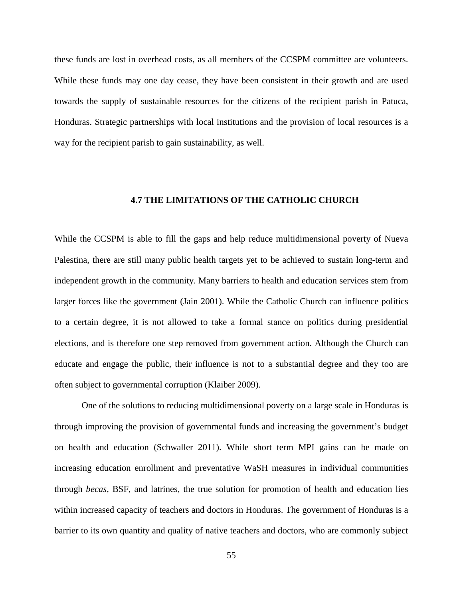these funds are lost in overhead costs, as all members of the CCSPM committee are volunteers. While these funds may one day cease, they have been consistent in their growth and are used towards the supply of sustainable resources for the citizens of the recipient parish in Patuca, Honduras. Strategic partnerships with local institutions and the provision of local resources is a way for the recipient parish to gain sustainability, as well.

# **4.7 THE LIMITATIONS OF THE CATHOLIC CHURCH**

While the CCSPM is able to fill the gaps and help reduce multidimensional poverty of Nueva Palestina, there are still many public health targets yet to be achieved to sustain long-term and independent growth in the community. Many barriers to health and education services stem from larger forces like the government (Jain 2001). While the Catholic Church can influence politics to a certain degree, it is not allowed to take a formal stance on politics during presidential elections, and is therefore one step removed from government action. Although the Church can educate and engage the public, their influence is not to a substantial degree and they too are often subject to governmental corruption (Klaiber 2009).

One of the solutions to reducing multidimensional poverty on a large scale in Honduras is through improving the provision of governmental funds and increasing the government's budget on health and education (Schwaller 2011). While short term MPI gains can be made on increasing education enrollment and preventative WaSH measures in individual communities through *becas,* BSF, and latrines, the true solution for promotion of health and education lies within increased capacity of teachers and doctors in Honduras. The government of Honduras is a barrier to its own quantity and quality of native teachers and doctors, who are commonly subject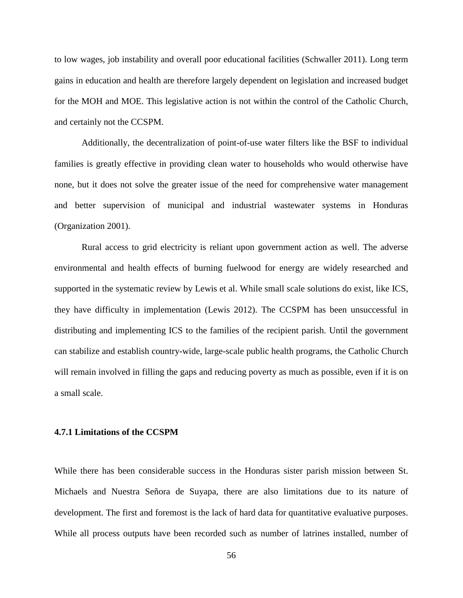to low wages, job instability and overall poor educational facilities (Schwaller 2011). Long term gains in education and health are therefore largely dependent on legislation and increased budget for the MOH and MOE. This legislative action is not within the control of the Catholic Church, and certainly not the CCSPM.

Additionally, the decentralization of point-of-use water filters like the BSF to individual families is greatly effective in providing clean water to households who would otherwise have none, but it does not solve the greater issue of the need for comprehensive water management and better supervision of municipal and industrial wastewater systems in Honduras (Organization 2001).

Rural access to grid electricity is reliant upon government action as well. The adverse environmental and health effects of burning fuelwood for energy are widely researched and supported in the systematic review by Lewis et al. While small scale solutions do exist, like ICS, they have difficulty in implementation (Lewis 2012). The CCSPM has been unsuccessful in distributing and implementing ICS to the families of the recipient parish. Until the government can stabilize and establish country-wide, large-scale public health programs, the Catholic Church will remain involved in filling the gaps and reducing poverty as much as possible, even if it is on a small scale.

# **4.7.1 Limitations of the CCSPM**

While there has been considerable success in the Honduras sister parish mission between St. Michaels and Nuestra Señora de Suyapa, there are also limitations due to its nature of development. The first and foremost is the lack of hard data for quantitative evaluative purposes. While all process outputs have been recorded such as number of latrines installed, number of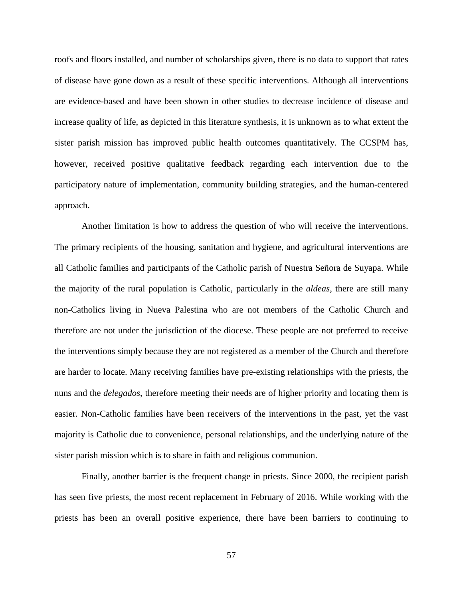roofs and floors installed, and number of scholarships given, there is no data to support that rates of disease have gone down as a result of these specific interventions. Although all interventions are evidence-based and have been shown in other studies to decrease incidence of disease and increase quality of life, as depicted in this literature synthesis, it is unknown as to what extent the sister parish mission has improved public health outcomes quantitatively. The CCSPM has, however, received positive qualitative feedback regarding each intervention due to the participatory nature of implementation, community building strategies, and the human-centered approach.

Another limitation is how to address the question of who will receive the interventions. The primary recipients of the housing, sanitation and hygiene, and agricultural interventions are all Catholic families and participants of the Catholic parish of Nuestra Señora de Suyapa. While the majority of the rural population is Catholic, particularly in the *aldeas*, there are still many non-Catholics living in Nueva Palestina who are not members of the Catholic Church and therefore are not under the jurisdiction of the diocese. These people are not preferred to receive the interventions simply because they are not registered as a member of the Church and therefore are harder to locate. Many receiving families have pre-existing relationships with the priests, the nuns and the *delegados*, therefore meeting their needs are of higher priority and locating them is easier. Non-Catholic families have been receivers of the interventions in the past, yet the vast majority is Catholic due to convenience, personal relationships, and the underlying nature of the sister parish mission which is to share in faith and religious communion.

Finally, another barrier is the frequent change in priests. Since 2000, the recipient parish has seen five priests, the most recent replacement in February of 2016. While working with the priests has been an overall positive experience, there have been barriers to continuing to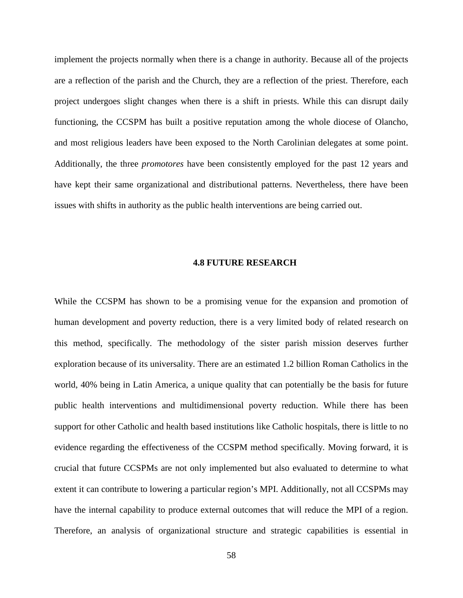implement the projects normally when there is a change in authority. Because all of the projects are a reflection of the parish and the Church, they are a reflection of the priest. Therefore, each project undergoes slight changes when there is a shift in priests. While this can disrupt daily functioning, the CCSPM has built a positive reputation among the whole diocese of Olancho, and most religious leaders have been exposed to the North Carolinian delegates at some point. Additionally, the three *promotores* have been consistently employed for the past 12 years and have kept their same organizational and distributional patterns. Nevertheless, there have been issues with shifts in authority as the public health interventions are being carried out.

### **4.8 FUTURE RESEARCH**

While the CCSPM has shown to be a promising venue for the expansion and promotion of human development and poverty reduction, there is a very limited body of related research on this method, specifically. The methodology of the sister parish mission deserves further exploration because of its universality. There are an estimated 1.2 billion Roman Catholics in the world, 40% being in Latin America, a unique quality that can potentially be the basis for future public health interventions and multidimensional poverty reduction. While there has been support for other Catholic and health based institutions like Catholic hospitals, there is little to no evidence regarding the effectiveness of the CCSPM method specifically. Moving forward, it is crucial that future CCSPMs are not only implemented but also evaluated to determine to what extent it can contribute to lowering a particular region's MPI. Additionally, not all CCSPMs may have the internal capability to produce external outcomes that will reduce the MPI of a region. Therefore, an analysis of organizational structure and strategic capabilities is essential in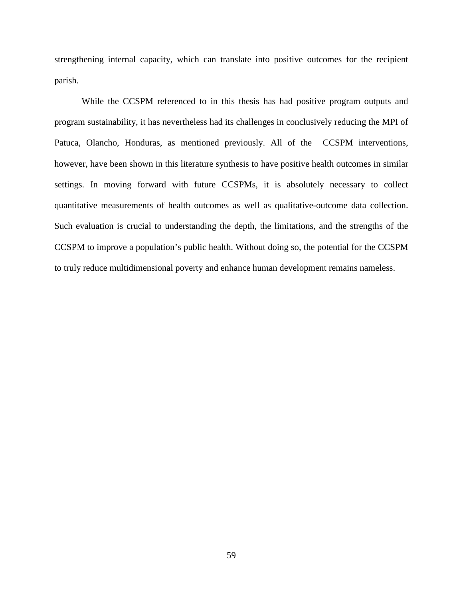strengthening internal capacity, which can translate into positive outcomes for the recipient parish.

While the CCSPM referenced to in this thesis has had positive program outputs and program sustainability, it has nevertheless had its challenges in conclusively reducing the MPI of Patuca, Olancho, Honduras, as mentioned previously. All of the CCSPM interventions, however, have been shown in this literature synthesis to have positive health outcomes in similar settings. In moving forward with future CCSPMs, it is absolutely necessary to collect quantitative measurements of health outcomes as well as qualitative-outcome data collection. Such evaluation is crucial to understanding the depth, the limitations, and the strengths of the CCSPM to improve a population's public health. Without doing so, the potential for the CCSPM to truly reduce multidimensional poverty and enhance human development remains nameless.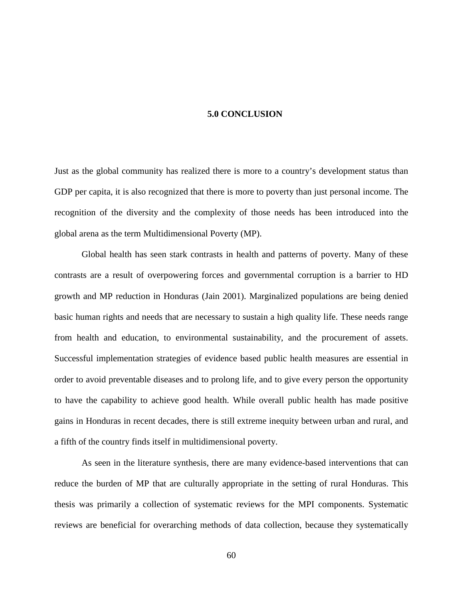#### **5.0 CONCLUSION**

Just as the global community has realized there is more to a country's development status than GDP per capita, it is also recognized that there is more to poverty than just personal income. The recognition of the diversity and the complexity of those needs has been introduced into the global arena as the term Multidimensional Poverty (MP).

Global health has seen stark contrasts in health and patterns of poverty. Many of these contrasts are a result of overpowering forces and governmental corruption is a barrier to HD growth and MP reduction in Honduras (Jain 2001). Marginalized populations are being denied basic human rights and needs that are necessary to sustain a high quality life. These needs range from health and education, to environmental sustainability, and the procurement of assets. Successful implementation strategies of evidence based public health measures are essential in order to avoid preventable diseases and to prolong life, and to give every person the opportunity to have the capability to achieve good health. While overall public health has made positive gains in Honduras in recent decades, there is still extreme inequity between urban and rural, and a fifth of the country finds itself in multidimensional poverty.

As seen in the literature synthesis, there are many evidence-based interventions that can reduce the burden of MP that are culturally appropriate in the setting of rural Honduras. This thesis was primarily a collection of systematic reviews for the MPI components. Systematic reviews are beneficial for overarching methods of data collection, because they systematically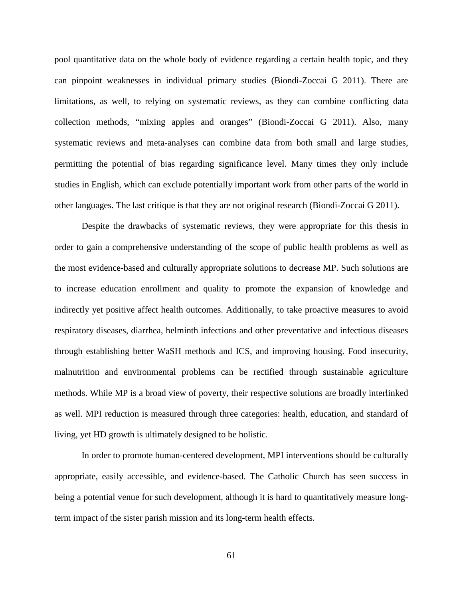pool quantitative data on the whole body of evidence regarding a certain health topic, and they can pinpoint weaknesses in individual primary studies (Biondi-Zoccai G 2011). There are limitations, as well, to relying on systematic reviews, as they can combine conflicting data collection methods, "mixing apples and oranges" (Biondi-Zoccai G 2011). Also, many systematic reviews and meta-analyses can combine data from both small and large studies, permitting the potential of bias regarding significance level. Many times they only include studies in English, which can exclude potentially important work from other parts of the world in other languages. The last critique is that they are not original research (Biondi-Zoccai G 2011).

Despite the drawbacks of systematic reviews, they were appropriate for this thesis in order to gain a comprehensive understanding of the scope of public health problems as well as the most evidence-based and culturally appropriate solutions to decrease MP. Such solutions are to increase education enrollment and quality to promote the expansion of knowledge and indirectly yet positive affect health outcomes. Additionally, to take proactive measures to avoid respiratory diseases, diarrhea, helminth infections and other preventative and infectious diseases through establishing better WaSH methods and ICS, and improving housing. Food insecurity, malnutrition and environmental problems can be rectified through sustainable agriculture methods. While MP is a broad view of poverty, their respective solutions are broadly interlinked as well. MPI reduction is measured through three categories: health, education, and standard of living, yet HD growth is ultimately designed to be holistic.

In order to promote human-centered development, MPI interventions should be culturally appropriate, easily accessible, and evidence-based. The Catholic Church has seen success in being a potential venue for such development, although it is hard to quantitatively measure longterm impact of the sister parish mission and its long-term health effects.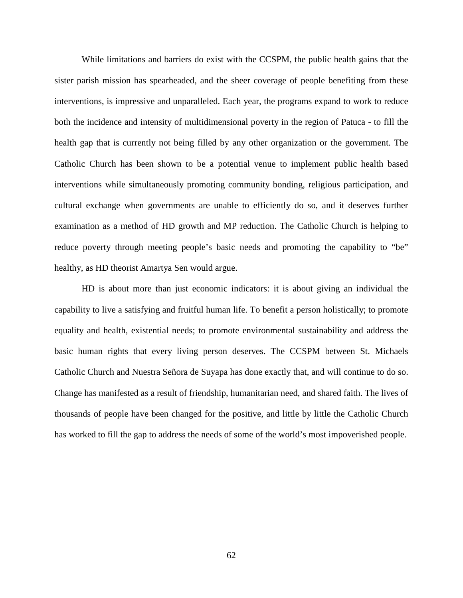While limitations and barriers do exist with the CCSPM, the public health gains that the sister parish mission has spearheaded, and the sheer coverage of people benefiting from these interventions, is impressive and unparalleled. Each year, the programs expand to work to reduce both the incidence and intensity of multidimensional poverty in the region of Patuca - to fill the health gap that is currently not being filled by any other organization or the government. The Catholic Church has been shown to be a potential venue to implement public health based interventions while simultaneously promoting community bonding, religious participation, and cultural exchange when governments are unable to efficiently do so, and it deserves further examination as a method of HD growth and MP reduction. The Catholic Church is helping to reduce poverty through meeting people's basic needs and promoting the capability to "be" healthy, as HD theorist Amartya Sen would argue.

HD is about more than just economic indicators: it is about giving an individual the capability to live a satisfying and fruitful human life. To benefit a person holistically; to promote equality and health, existential needs; to promote environmental sustainability and address the basic human rights that every living person deserves. The CCSPM between St. Michaels Catholic Church and Nuestra Señora de Suyapa has done exactly that, and will continue to do so. Change has manifested as a result of friendship, humanitarian need, and shared faith. The lives of thousands of people have been changed for the positive, and little by little the Catholic Church has worked to fill the gap to address the needs of some of the world's most impoverished people.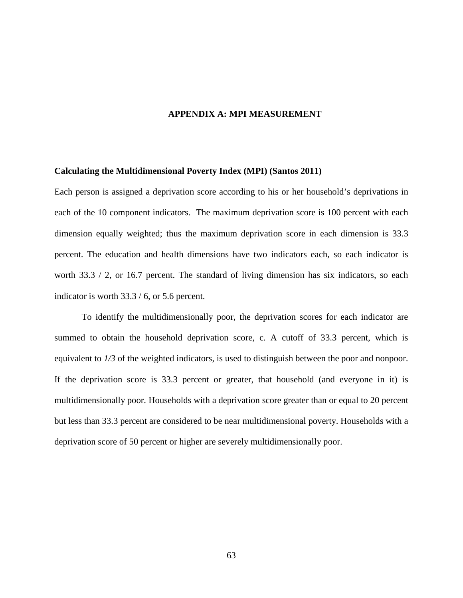### **APPENDIX A: MPI MEASUREMENT**

#### **Calculating the Multidimensional Poverty Index (MPI) (Santos 2011)**

Each person is assigned a deprivation score according to his or her household's deprivations in each of the 10 component indicators. The maximum deprivation score is 100 percent with each dimension equally weighted; thus the maximum deprivation score in each dimension is 33.3 percent. The education and health dimensions have two indicators each, so each indicator is worth 33.3 / 2, or 16.7 percent. The standard of living dimension has six indicators, so each indicator is worth 33.3 / 6, or 5.6 percent.

To identify the multidimensionally poor, the deprivation scores for each indicator are summed to obtain the household deprivation score, c. A cutoff of 33.3 percent, which is equivalent to *1/3* of the weighted indicators, is used to distinguish between the poor and nonpoor. If the deprivation score is 33.3 percent or greater, that household (and everyone in it) is multidimensionally poor. Households with a deprivation score greater than or equal to 20 percent but less than 33.3 percent are considered to be near multidimensional poverty. Households with a deprivation score of 50 percent or higher are severely multidimensionally poor.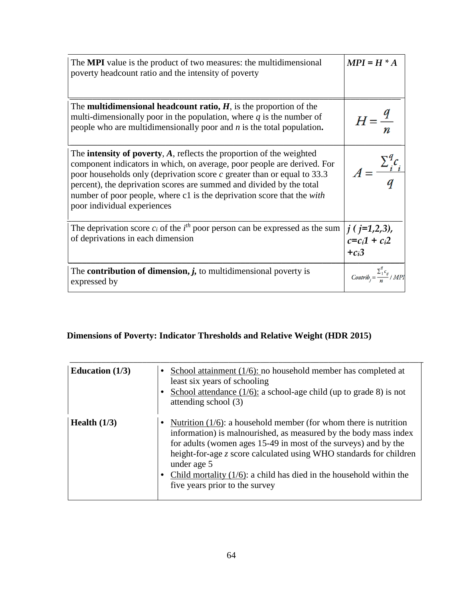| The <b>MPI</b> value is the product of two measures: the multidimensional<br>poverty headcount ratio and the intensity of poverty                                                                                                                                                                                                                                                                                               | $MPI = H * A$                                     |
|---------------------------------------------------------------------------------------------------------------------------------------------------------------------------------------------------------------------------------------------------------------------------------------------------------------------------------------------------------------------------------------------------------------------------------|---------------------------------------------------|
| The <b>multidimensional headcount ratio, <math>H</math></b> , is the proportion of the<br>multi-dimensionally poor in the population, where $q$ is the number of<br>people who are multidimensionally poor and $n$ is the total population.                                                                                                                                                                                     |                                                   |
| The <b>intensity of poverty</b> , $A$ , reflects the proportion of the weighted<br>component indicators in which, on average, poor people are derived. For<br>poor households only (deprivation score $c$ greater than or equal to 33.3<br>percent), the deprivation scores are summed and divided by the total<br>number of poor people, where c1 is the deprivation score that the <i>with</i><br>poor individual experiences | $A=\frac{\sum_{i}^{i}c_{i}}{2}$                   |
| The deprivation score $c_i$ of the $i^{th}$ poor person can be expressed as the sum<br>of deprivations in each dimension                                                                                                                                                                                                                                                                                                        | $j$ ( $j=1,2,3$ ),<br>$c=c_i1+c_i2$<br>$+c_i3$    |
| The <b>contribution of dimension</b> , $j$ , to multidimensional poverty is<br>expressed by                                                                                                                                                                                                                                                                                                                                     | $2_1 \epsilon_{ij}$<br>$Contrib_i = \frac{24}{n}$ |

# **Dimensions of Poverty: Indicator Thresholds and Relative Weight (HDR 2015)**

| Education $(1/3)$ | School attainment $(1/6)$ : no household member has completed at<br>least six years of schooling<br>School attendance $(1/6)$ : a school-age child (up to grade 8) is not<br>attending school (3)                                                                                                                                                                                                           |
|-------------------|-------------------------------------------------------------------------------------------------------------------------------------------------------------------------------------------------------------------------------------------------------------------------------------------------------------------------------------------------------------------------------------------------------------|
| Health $(1/3)$    | Nutrition $(1/6)$ : a household member (for whom there is nutrition<br>information) is malnourished, as measured by the body mass index<br>for adults (women ages 15-49 in most of the surveys) and by the<br>height-for-age z score calculated using WHO standards for children<br>under age 5<br>Child mortality $(1/6)$ : a child has died in the household within the<br>five years prior to the survey |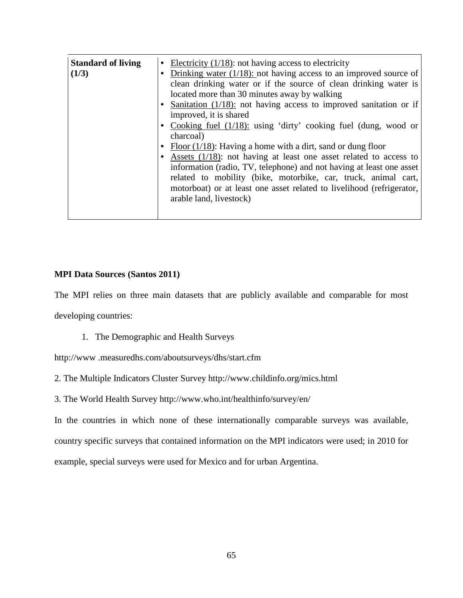| <b>Standard of living</b><br>(1/3) | • Electricity $(1/18)$ : not having access to electricity<br>• Drinking water $(1/18)$ : not having access to an improved source of<br>clean drinking water or if the source of clean drinking water is<br>located more than 30 minutes away by walking<br>• Sanitation $(1/18)$ : not having access to improved sanitation or if                                                                                                                                                                      |  |
|------------------------------------|--------------------------------------------------------------------------------------------------------------------------------------------------------------------------------------------------------------------------------------------------------------------------------------------------------------------------------------------------------------------------------------------------------------------------------------------------------------------------------------------------------|--|
|                                    | improved, it is shared<br>• Cooking fuel $(1/18)$ : using 'dirty' cooking fuel (dung, wood or<br>charcoal)<br>• Floor $(1/18)$ : Having a home with a dirt, sand or dung floor<br>• Assets $(1/18)$ : not having at least one asset related to access to<br>information (radio, TV, telephone) and not having at least one asset<br>related to mobility (bike, motorbike, car, truck, animal cart,<br>motorboat) or at least one asset related to livelihood (refrigerator,<br>arable land, livestock) |  |

## **MPI Data Sources (Santos 2011)**

The MPI relies on three main datasets that are publicly available and comparable for most developing countries:

1. The Demographic and Health Surveys

http://www .measuredhs.com/aboutsurveys/dhs/start.cfm

- 2. The Multiple Indicators Cluster Survey http://www.childinfo.org/mics.html
- 3. The World Health Survey http://www.who.int/healthinfo/survey/en/

In the countries in which none of these internationally comparable surveys was available, country specific surveys that contained information on the MPI indicators were used; in 2010 for example, special surveys were used for Mexico and for urban Argentina.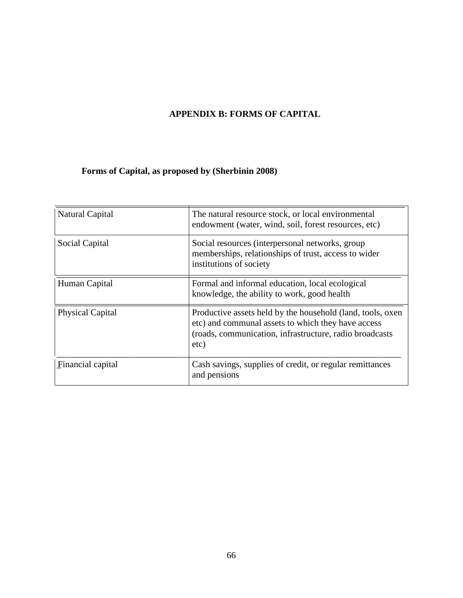# **APPENDIX B: FORMS OF CAPITAL**

# **Forms of Capital, as proposed by (Sherbinin 2008)**

| Natural Capital         | The natural resource stock, or local environmental<br>endowment (water, wind, soil, forest resources, etc)                                                                           |
|-------------------------|--------------------------------------------------------------------------------------------------------------------------------------------------------------------------------------|
| Social Capital          | Social resources (interpersonal networks, group<br>memberships, relationships of trust, access to wider<br>institutions of society                                                   |
| Human Capital           | Formal and informal education, local ecological<br>knowledge, the ability to work, good health                                                                                       |
| <b>Physical Capital</b> | Productive assets held by the household (land, tools, oxen<br>etc) and communal assets to which they have access<br>(roads, communication, infrastructure, radio broadcasts)<br>etc) |
| Financial capital       | Cash savings, supplies of credit, or regular remittances<br>and pensions                                                                                                             |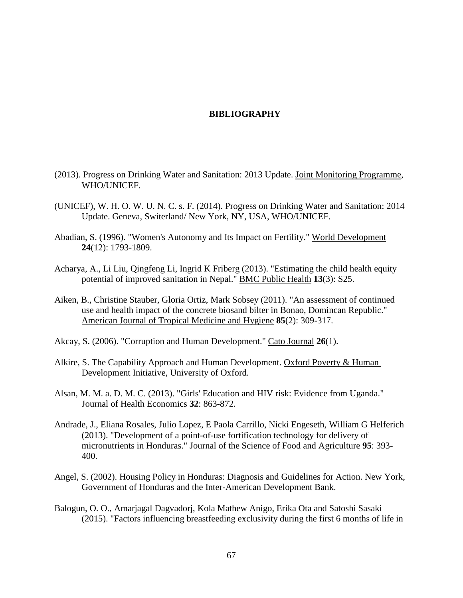### **BIBLIOGRAPHY**

- (2013). Progress on Drinking Water and Sanitation: 2013 Update. Joint Monitoring Programme, WHO/UNICEF.
- (UNICEF), W. H. O. W. U. N. C. s. F. (2014). Progress on Drinking Water and Sanitation: 2014 Update. Geneva, Switerland/ New York, NY, USA, WHO/UNICEF.
- Abadian, S. (1996). "Women's Autonomy and Its Impact on Fertility." World Development **24**(12): 1793-1809.
- Acharya, A., Li Liu, Qingfeng Li, Ingrid K Friberg (2013). "Estimating the child health equity potential of improved sanitation in Nepal." BMC Public Health **13**(3): S25.
- Aiken, B., Christine Stauber, Gloria Ortiz, Mark Sobsey (2011). "An assessment of continued use and health impact of the concrete biosand bilter in Bonao, Domincan Republic." American Journal of Tropical Medicine and Hygiene **85**(2): 309-317.
- Akcay, S. (2006). "Corruption and Human Development." Cato Journal **26**(1).
- Alkire, S. The Capability Approach and Human Development. Oxford Poverty & Human Development Initiative, University of Oxford.
- Alsan, M. M. a. D. M. C. (2013). "Girls' Education and HIV risk: Evidence from Uganda." Journal of Health Economics **32**: 863-872.
- Andrade, J., Eliana Rosales, Julio Lopez, E Paola Carrillo, Nicki Engeseth, William G Helferich (2013). "Development of a point-of-use fortification technology for delivery of micronutrients in Honduras." Journal of the Science of Food and Agriculture **95**: 393- 400.
- Angel, S. (2002). Housing Policy in Honduras: Diagnosis and Guidelines for Action. New York, Government of Honduras and the Inter-American Development Bank.
- Balogun, O. O., Amarjagal Dagvadorj, Kola Mathew Anigo, Erika Ota and Satoshi Sasaki (2015). "Factors influencing breastfeeding exclusivity during the first 6 months of life in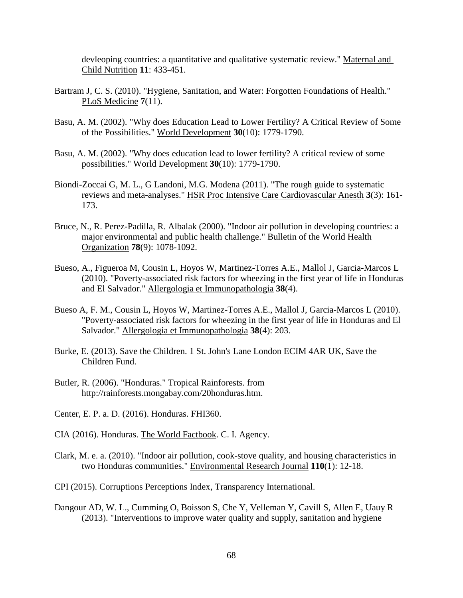devleoping countries: a quantitative and qualitative systematic review." Maternal and Child Nutrition **11**: 433-451.

- Bartram J, C. S. (2010). "Hygiene, Sanitation, and Water: Forgotten Foundations of Health." PLoS Medicine **7**(11).
- Basu, A. M. (2002). "Why does Education Lead to Lower Fertility? A Critical Review of Some of the Possibilities." World Development **30**(10): 1779-1790.
- Basu, A. M. (2002). "Why does education lead to lower fertility? A critical review of some possibilities." World Development **30**(10): 1779-1790.
- Biondi-Zoccai G, M. L., G Landoni, M.G. Modena (2011). "The rough guide to systematic reviews and meta-analyses." HSR Proc Intensive Care Cardiovascular Anesth **3**(3): 161- 173.
- Bruce, N., R. Perez-Padilla, R. Albalak (2000). "Indoor air pollution in developing countries: a major environmental and public health challenge." Bulletin of the World Health Organization **78**(9): 1078-1092.
- Bueso, A., Figueroa M, Cousin L, Hoyos W, Martinez-Torres A.E., Mallol J, Garcia-Marcos L (2010). "Poverty-associated risk factors for wheezing in the first year of life in Honduras and El Salvador." Allergologia et Immunopathologia **38**(4).
- Bueso A, F. M., Cousin L, Hoyos W, Martinez-Torres A.E., Mallol J, Garcia-Marcos L (2010). "Poverty-associated risk factors for wheezing in the first year of life in Honduras and El Salvador." Allergologia et Immunopathologia **38**(4): 203.
- Burke, E. (2013). Save the Children. 1 St. John's Lane London ECIM 4AR UK, Save the Children Fund.
- Butler, R. (2006). "Honduras." Tropical Rainforests. from http://rainforests.mongabay.com/20honduras.htm.
- Center, E. P. a. D. (2016). Honduras. FHI360.
- CIA (2016). Honduras. The World Factbook. C. I. Agency.
- Clark, M. e. a. (2010). "Indoor air pollution, cook-stove quality, and housing characteristics in two Honduras communities." Environmental Research Journal **110**(1): 12-18.
- CPI (2015). Corruptions Perceptions Index, Transparency International.
- Dangour AD, W. L., Cumming O, Boisson S, Che Y, Velleman Y, Cavill S, Allen E, Uauy R (2013). "Interventions to improve water quality and supply, sanitation and hygiene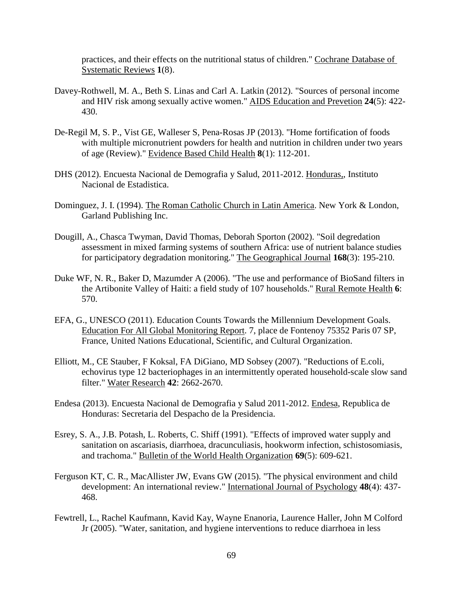practices, and their effects on the nutritional status of children." Cochrane Database of Systematic Reviews **1**(8).

- Davey-Rothwell, M. A., Beth S. Linas and Carl A. Latkin (2012). "Sources of personal income and HIV risk among sexually active women." AIDS Education and Prevetion **24**(5): 422- 430.
- De-Regil M, S. P., Vist GE, Walleser S, Pena-Rosas JP (2013). "Home fortification of foods with multiple micronutrient powders for health and nutrition in children under two years of age (Review)." Evidence Based Child Health **8**(1): 112-201.
- DHS (2012). Encuesta Nacional de Demografia y Salud, 2011-2012. Honduras,, Instituto Nacional de Estadistica.
- Dominguez, J. I. (1994). The Roman Catholic Church in Latin America. New York & London, Garland Publishing Inc.
- Dougill, A., Chasca Twyman, David Thomas, Deborah Sporton (2002). "Soil degredation assessment in mixed farming systems of southern Africa: use of nutrient balance studies for participatory degradation monitoring." The Geographical Journal **168**(3): 195-210.
- Duke WF, N. R., Baker D, Mazumder A (2006). "The use and performance of BioSand filters in the Artibonite Valley of Haiti: a field study of 107 households." Rural Remote Health **6**: 570.
- EFA, G., UNESCO (2011). Education Counts Towards the Millennium Development Goals. Education For All Global Monitoring Report. 7, place de Fontenoy 75352 Paris 07 SP, France, United Nations Educational, Scientific, and Cultural Organization.
- Elliott, M., CE Stauber, F Koksal, FA DiGiano, MD Sobsey (2007). "Reductions of E.coli, echovirus type 12 bacteriophages in an intermittently operated household-scale slow sand filter." Water Research **42**: 2662-2670.
- Endesa (2013). Encuesta Nacional de Demografia y Salud 2011-2012. Endesa, Republica de Honduras: Secretaria del Despacho de la Presidencia.
- Esrey, S. A., J.B. Potash, L. Roberts, C. Shiff (1991). "Effects of improved water supply and sanitation on ascariasis, diarrhoea, dracunculiasis, hookworm infection, schistosomiasis, and trachoma." Bulletin of the World Health Organization **69**(5): 609-621.
- Ferguson KT, C. R., MacAllister JW, Evans GW (2015). "The physical environment and child development: An international review." International Journal of Psychology **48**(4): 437- 468.
- Fewtrell, L., Rachel Kaufmann, Kavid Kay, Wayne Enanoria, Laurence Haller, John M Colford Jr (2005). "Water, sanitation, and hygiene interventions to reduce diarrhoea in less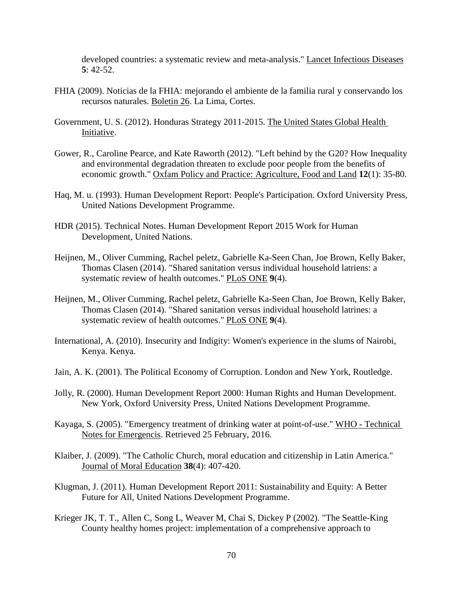developed countries: a systematic review and meta-analysis." Lancet Infectious Diseases **5**: 42-52.

- FHIA (2009). Noticias de la FHIA: mejorando el ambiente de la familia rural y conservando los recursos naturales. Boletin 26. La Lima, Cortes.
- Government, U. S. (2012). Honduras Strategy 2011-2015. The United States Global Health Initiative.
- Gower, R., Caroline Pearce, and Kate Raworth (2012). "Left behind by the G20? How Inequality and environmental degradation threaten to exclude poor people from the benefits of economic growth." Oxfam Policy and Practice: Agriculture, Food and Land **12**(1): 35-80.
- Haq, M. u. (1993). Human Development Report: People's Participation. Oxford University Press, United Nations Development Programme.
- HDR (2015). Technical Notes. Human Development Report 2015 Work for Human Development, United Nations.
- Heijnen, M., Oliver Cumming, Rachel peletz, Gabrielle Ka-Seen Chan, Joe Brown, Kelly Baker, Thomas Clasen (2014). "Shared sanitation versus individual household latriens: a systematic review of health outcomes." PLoS ONE **9**(4).
- Heijnen, M., Oliver Cumming, Rachel peletz, Gabrielle Ka-Seen Chan, Joe Brown, Kelly Baker, Thomas Clasen (2014). "Shared sanitation versus individual household latrines: a systematic review of health outcomes." PLoS ONE **9**(4).
- International, A. (2010). Insecurity and Indigity: Women's experience in the slums of Nairobi, Kenya. Kenya.
- Jain, A. K. (2001). The Political Economy of Corruption. London and New York, Routledge.
- Jolly, R. (2000). Human Development Report 2000: Human Rights and Human Development. New York, Oxford University Press, United Nations Development Programme.
- Kayaga, S. (2005). "Emergency treatment of drinking water at point-of-use." WHO Technical Notes for Emergencis. Retrieved 25 February, 2016.
- Klaiber, J. (2009). "The Catholic Church, moral education and citizenship in Latin America." Journal of Moral Education **38**(4): 407-420.
- Klugman, J. (2011). Human Development Report 2011: Sustainability and Equity: A Better Future for All, United Nations Development Programme.
- Krieger JK, T. T., Allen C, Song L, Weaver M, Chai S, Dickey P (2002). "The Seattle-King County healthy homes project: implementation of a comprehensive approach to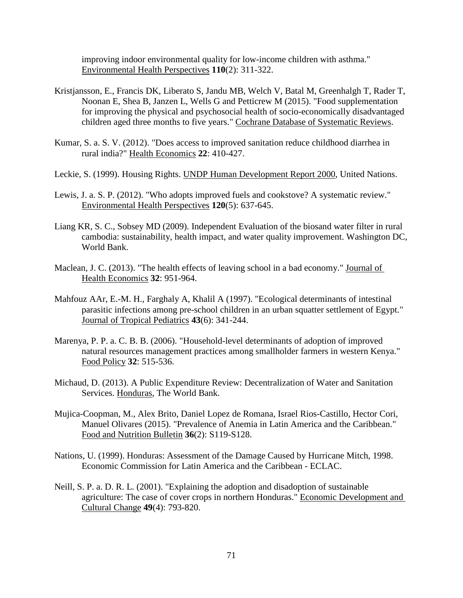improving indoor environmental quality for low-income children with asthma." Environmental Health Perspectives **110**(2): 311-322.

- Kristjansson, E., Francis DK, Liberato S, Jandu MB, Welch V, Batal M, Greenhalgh T, Rader T, Noonan E, Shea B, Janzen L, Wells G and Petticrew M (2015). "Food supplementation for improving the physical and psychosocial health of socio-economically disadvantaged children aged three months to five years." Cochrane Database of Systematic Reviews.
- Kumar, S. a. S. V. (2012). "Does access to improved sanitation reduce childhood diarrhea in rural india?" Health Economics **22**: 410-427.
- Leckie, S. (1999). Housing Rights. UNDP Human Development Report 2000, United Nations.
- Lewis, J. a. S. P. (2012). "Who adopts improved fuels and cookstove? A systematic review." Environmental Health Perspectives **120**(5): 637-645.
- Liang KR, S. C., Sobsey MD (2009). Independent Evaluation of the biosand water filter in rural cambodia: sustainability, health impact, and water quality improvement. Washington DC, World Bank.
- Maclean, J. C. (2013). "The health effects of leaving school in a bad economy." Journal of Health Economics **32**: 951-964.
- Mahfouz AAr, E.-M. H., Farghaly A, Khalil A (1997). "Ecological determinants of intestinal parasitic infections among pre-school children in an urban squatter settlement of Egypt." Journal of Tropical Pediatrics **43**(6): 341-244.
- Marenya, P. P. a. C. B. B. (2006). "Household-level determinants of adoption of improved natural resources management practices among smallholder farmers in western Kenya." Food Policy **32**: 515-536.
- Michaud, D. (2013). A Public Expenditure Review: Decentralization of Water and Sanitation Services. Honduras, The World Bank.
- Mujica-Coopman, M., Alex Brito, Daniel Lopez de Romana, Israel Rios-Castillo, Hector Cori, Manuel Olivares (2015). "Prevalence of Anemia in Latin America and the Caribbean." Food and Nutrition Bulletin **36**(2): S119-S128.
- Nations, U. (1999). Honduras: Assessment of the Damage Caused by Hurricane Mitch, 1998. Economic Commission for Latin America and the Caribbean - ECLAC.
- Neill, S. P. a. D. R. L. (2001). "Explaining the adoption and disadoption of sustainable agriculture: The case of cover crops in northern Honduras." Economic Development and Cultural Change **49**(4): 793-820.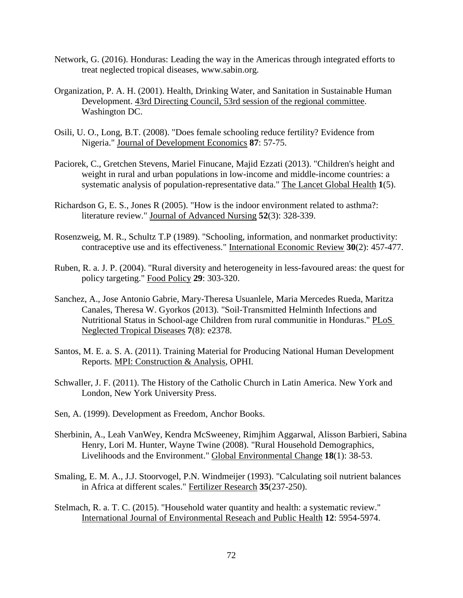- Network, G. (2016). Honduras: Leading the way in the Americas through integrated efforts to treat neglected tropical diseases, www.sabin.org.
- Organization, P. A. H. (2001). Health, Drinking Water, and Sanitation in Sustainable Human Development. 43rd Directing Council, 53rd session of the regional committee. Washington DC.
- Osili, U. O., Long, B.T. (2008). "Does female schooling reduce fertility? Evidence from Nigeria." Journal of Development Economics **87**: 57-75.
- Paciorek, C., Gretchen Stevens, Mariel Finucane, Majid Ezzati (2013). "Children's height and weight in rural and urban populations in low-income and middle-income countries: a systematic analysis of population-representative data." The Lancet Global Health **1**(5).
- Richardson G, E. S., Jones R (2005). "How is the indoor environment related to asthma?: literature review." Journal of Advanced Nursing **52**(3): 328-339.
- Rosenzweig, M. R., Schultz T.P (1989). "Schooling, information, and nonmarket productivity: contraceptive use and its effectiveness." International Economic Review **30**(2): 457-477.
- Ruben, R. a. J. P. (2004). "Rural diversity and heterogeneity in less-favoured areas: the quest for policy targeting." Food Policy **29**: 303-320.
- Sanchez, A., Jose Antonio Gabrie, Mary-Theresa Usuanlele, Maria Mercedes Rueda, Maritza Canales, Theresa W. Gyorkos (2013). "Soil-Transmitted Helminth Infections and Nutritional Status in School-age Children from rural communitie in Honduras." PLoS Neglected Tropical Diseases **7**(8): e2378.
- Santos, M. E. a. S. A. (2011). Training Material for Producing National Human Development Reports. MPI: Construction & Analysis, OPHI.
- Schwaller, J. F. (2011). The History of the Catholic Church in Latin America. New York and London, New York University Press.
- Sen, A. (1999). Development as Freedom, Anchor Books.
- Sherbinin, A., Leah VanWey, Kendra McSweeney, Rimjhim Aggarwal, Alisson Barbieri, Sabina Henry, Lori M. Hunter, Wayne Twine (2008). "Rural Household Demographics, Livelihoods and the Environment." Global Environmental Change **18**(1): 38-53.
- Smaling, E. M. A., J.J. Stoorvogel, P.N. Windmeijer (1993). "Calculating soil nutrient balances in Africa at different scales." Fertilizer Research **35**(237-250).
- Stelmach, R. a. T. C. (2015). "Household water quantity and health: a systematic review." International Journal of Environmental Reseach and Public Health **12**: 5954-5974.